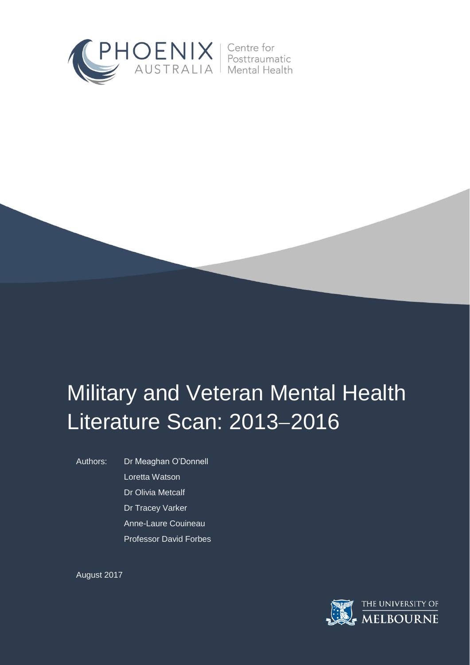

# Military and Veteran Mental Health Literature Scan: 2013-2016

Authors: Dr Meaghan O'Donnell Loretta Watson Dr Olivia Metcalf Dr Tracey Varker Anne-Laure Couineau Professor David Forbes

August 2017

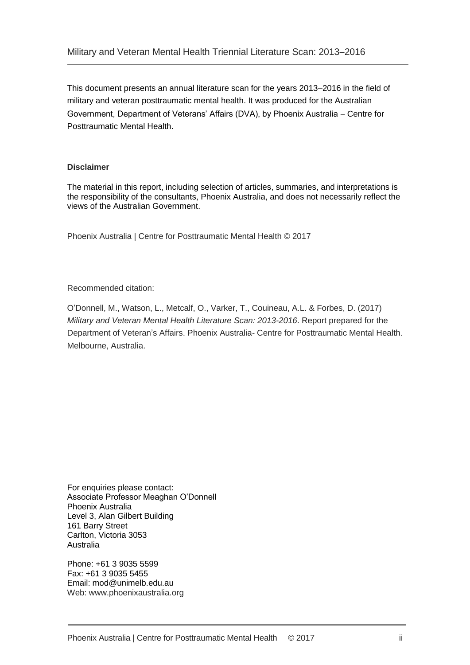This document presents an annual literature scan for the years 2013–2016 in the field of military and veteran posttraumatic mental health. It was produced for the Australian Government, Department of Veterans' Affairs (DVA), by Phoenix Australia - Centre for Posttraumatic Mental Health.

#### **Disclaimer**

The material in this report, including selection of articles, summaries, and interpretations is the responsibility of the consultants, Phoenix Australia, and does not necessarily reflect the views of the Australian Government.

Phoenix Australia | Centre for Posttraumatic Mental Health © 2017

Recommended citation:

O'Donnell, M., Watson, L., Metcalf, O., Varker, T., Couineau, A.L. & Forbes, D. (2017) *Military and Veteran Mental Health Literature Scan: 2013-2016*. Report prepared for the Department of Veteran's Affairs. Phoenix Australia- Centre for Posttraumatic Mental Health. Melbourne, Australia.

For enquiries please contact: Associate Professor Meaghan O'Donnell Phoenix Australia Level 3, Alan Gilbert Building 161 Barry Street Carlton, Victoria 3053 Australia

Phone: +61 3 9035 5599 Fax: +61 3 9035 5455 Email: mod@unimelb.edu.au Web: www.phoenixaustralia.org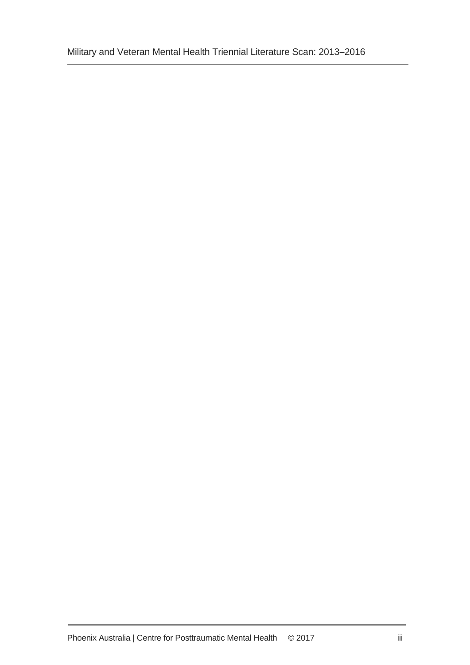Phoenix Australia | Centre for Posttraumatic Mental Health © 2017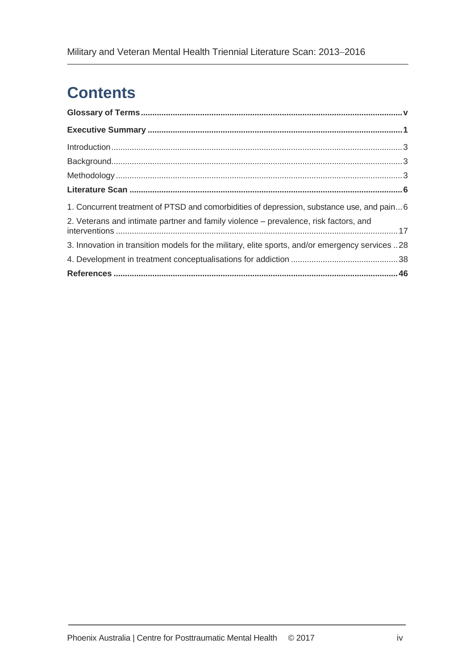## **Contents**

| 1. Concurrent treatment of PTSD and comorbidities of depression, substance use, and pain6       |
|-------------------------------------------------------------------------------------------------|
| 2. Veterans and intimate partner and family violence – prevalence, risk factors, and            |
| 3. Innovation in transition models for the military, elite sports, and/or emergency services 28 |
|                                                                                                 |
|                                                                                                 |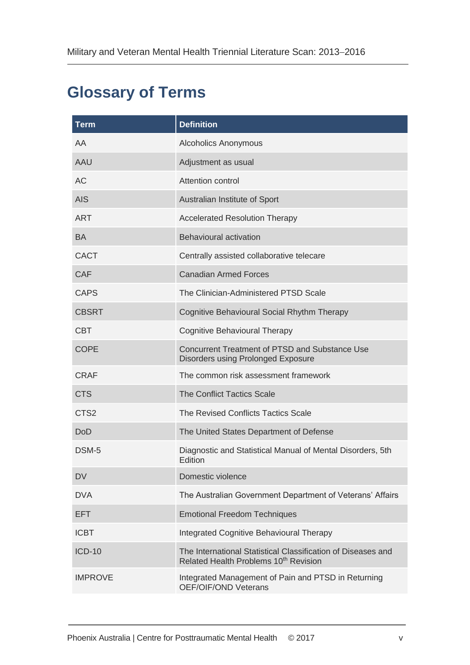## <span id="page-4-0"></span>**Glossary of Terms**

| <b>Term</b>      | <b>Definition</b>                                                                                                 |
|------------------|-------------------------------------------------------------------------------------------------------------------|
| AA               | <b>Alcoholics Anonymous</b>                                                                                       |
| <b>AAU</b>       | Adjustment as usual                                                                                               |
| AC               | Attention control                                                                                                 |
| <b>AIS</b>       | Australian Institute of Sport                                                                                     |
| <b>ART</b>       | <b>Accelerated Resolution Therapy</b>                                                                             |
| <b>BA</b>        | <b>Behavioural activation</b>                                                                                     |
| <b>CACT</b>      | Centrally assisted collaborative telecare                                                                         |
| <b>CAF</b>       | <b>Canadian Armed Forces</b>                                                                                      |
| <b>CAPS</b>      | The Clinician-Administered PTSD Scale                                                                             |
| <b>CBSRT</b>     | Cognitive Behavioural Social Rhythm Therapy                                                                       |
| <b>CBT</b>       | <b>Cognitive Behavioural Therapy</b>                                                                              |
| <b>COPE</b>      | <b>Concurrent Treatment of PTSD and Substance Use</b><br><b>Disorders using Prolonged Exposure</b>                |
| <b>CRAF</b>      | The common risk assessment framework                                                                              |
| <b>CTS</b>       | <b>The Conflict Tactics Scale</b>                                                                                 |
| CTS <sub>2</sub> | The Revised Conflicts Tactics Scale                                                                               |
| DoD              | The United States Department of Defense                                                                           |
| DSM-5            | Diagnostic and Statistical Manual of Mental Disorders, 5th<br>Edition                                             |
| <b>DV</b>        | Domestic violence                                                                                                 |
| <b>DVA</b>       | The Australian Government Department of Veterans' Affairs                                                         |
| <b>EFT</b>       | <b>Emotional Freedom Techniques</b>                                                                               |
| <b>ICBT</b>      | Integrated Cognitive Behavioural Therapy                                                                          |
| <b>ICD-10</b>    | The International Statistical Classification of Diseases and<br>Related Health Problems 10 <sup>th</sup> Revision |
| <b>IMPROVE</b>   | Integrated Management of Pain and PTSD in Returning<br><b>OEF/OIF/OND Veterans</b>                                |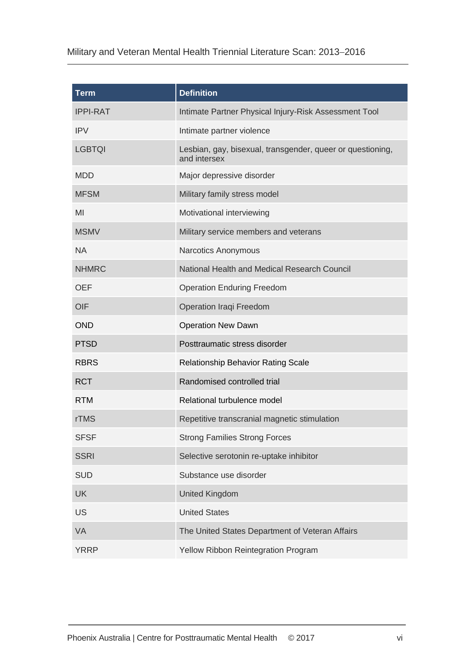| <b>Term</b>     | <b>Definition</b>                                                          |  |
|-----------------|----------------------------------------------------------------------------|--|
| <b>IPPI-RAT</b> | Intimate Partner Physical Injury-Risk Assessment Tool                      |  |
| <b>IPV</b>      | Intimate partner violence                                                  |  |
| <b>LGBTQI</b>   | Lesbian, gay, bisexual, transgender, queer or questioning,<br>and intersex |  |
| <b>MDD</b>      | Major depressive disorder                                                  |  |
| <b>MFSM</b>     | Military family stress model                                               |  |
| MI              | Motivational interviewing                                                  |  |
| <b>MSMV</b>     | Military service members and veterans                                      |  |
| <b>NA</b>       | Narcotics Anonymous                                                        |  |
| <b>NHMRC</b>    | National Health and Medical Research Council                               |  |
| <b>OEF</b>      | <b>Operation Enduring Freedom</b>                                          |  |
| <b>OIF</b>      | Operation Iraqi Freedom                                                    |  |
| <b>OND</b>      | <b>Operation New Dawn</b>                                                  |  |
| <b>PTSD</b>     | Posttraumatic stress disorder                                              |  |
| <b>RBRS</b>     | <b>Relationship Behavior Rating Scale</b>                                  |  |
| <b>RCT</b>      | Randomised controlled trial                                                |  |
| <b>RTM</b>      | Relational turbulence model                                                |  |
| rTMS            | Repetitive transcranial magnetic stimulation                               |  |
| <b>SFSF</b>     | <b>Strong Families Strong Forces</b>                                       |  |
| <b>SSRI</b>     | Selective serotonin re-uptake inhibitor                                    |  |
| <b>SUD</b>      | Substance use disorder                                                     |  |
| <b>UK</b>       | <b>United Kingdom</b>                                                      |  |
| <b>US</b>       | <b>United States</b>                                                       |  |
| VA              | The United States Department of Veteran Affairs                            |  |
| <b>YRRP</b>     | Yellow Ribbon Reintegration Program                                        |  |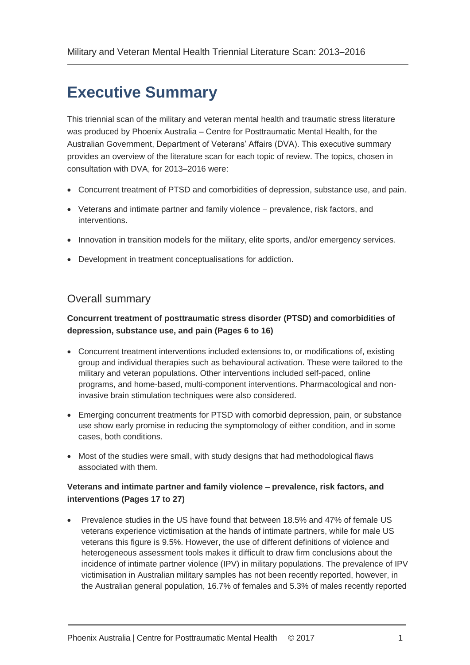## <span id="page-6-0"></span>**Executive Summary**

This triennial scan of the military and veteran mental health and traumatic stress literature was produced by Phoenix Australia – Centre for Posttraumatic Mental Health, for the Australian Government, Department of Veterans' Affairs (DVA). This executive summary provides an overview of the literature scan for each topic of review. The topics, chosen in consultation with DVA, for 2013–2016 were:

- Concurrent treatment of PTSD and comorbidities of depression, substance use, and pain.
- $\bullet$  Veterans and intimate partner and family violence prevalence, risk factors, and interventions.
- Innovation in transition models for the military, elite sports, and/or emergency services.
- Development in treatment conceptualisations for addiction.

### Overall summary

#### **Concurrent treatment of posttraumatic stress disorder (PTSD) and comorbidities of depression, substance use, and pain (Pages 6 to 16)**

- Concurrent treatment interventions included extensions to, or modifications of, existing group and individual therapies such as behavioural activation. These were tailored to the military and veteran populations. Other interventions included self-paced, online programs, and home-based, multi-component interventions. Pharmacological and noninvasive brain stimulation techniques were also considered.
- Emerging concurrent treatments for PTSD with comorbid depression, pain, or substance use show early promise in reducing the symptomology of either condition, and in some cases, both conditions.
- Most of the studies were small, with study designs that had methodological flaws associated with them.

#### **Veterans and intimate partner and family violence prevalence, risk factors, and interventions (Pages 17 to 27)**

 Prevalence studies in the US have found that between 18.5% and 47% of female US veterans experience victimisation at the hands of intimate partners, while for male US veterans this figure is 9.5%. However, the use of different definitions of violence and heterogeneous assessment tools makes it difficult to draw firm conclusions about the incidence of intimate partner violence (IPV) in military populations. The prevalence of IPV victimisation in Australian military samples has not been recently reported, however, in the Australian general population, 16.7% of females and 5.3% of males recently reported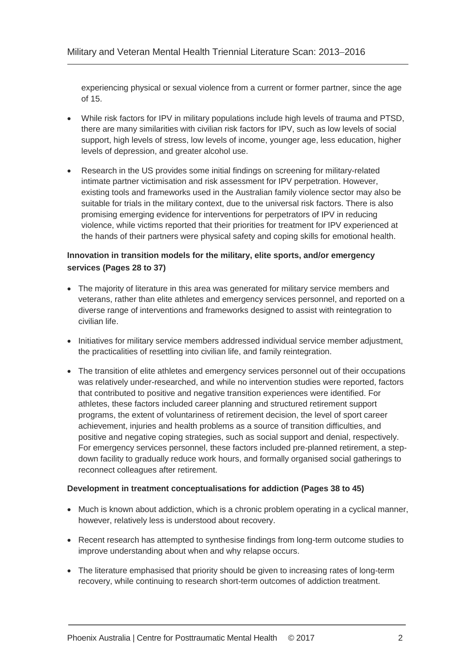experiencing physical or sexual violence from a current or former partner, since the age of 15.

- While risk factors for IPV in military populations include high levels of trauma and PTSD, there are many similarities with civilian risk factors for IPV, such as low levels of social support, high levels of stress, low levels of income, younger age, less education, higher levels of depression, and greater alcohol use.
- Research in the US provides some initial findings on screening for military-related intimate partner victimisation and risk assessment for IPV perpetration. However, existing tools and frameworks used in the Australian family violence sector may also be suitable for trials in the military context, due to the universal risk factors. There is also promising emerging evidence for interventions for perpetrators of IPV in reducing violence, while victims reported that their priorities for treatment for IPV experienced at the hands of their partners were physical safety and coping skills for emotional health.

#### **Innovation in transition models for the military, elite sports, and/or emergency services (Pages 28 to 37)**

- The majority of literature in this area was generated for military service members and veterans, rather than elite athletes and emergency services personnel, and reported on a diverse range of interventions and frameworks designed to assist with reintegration to civilian life.
- Initiatives for military service members addressed individual service member adjustment, the practicalities of resettling into civilian life, and family reintegration.
- The transition of elite athletes and emergency services personnel out of their occupations was relatively under-researched, and while no intervention studies were reported, factors that contributed to positive and negative transition experiences were identified. For athletes, these factors included career planning and structured retirement support programs, the extent of voluntariness of retirement decision, the level of sport career achievement, injuries and health problems as a source of transition difficulties, and positive and negative coping strategies, such as social support and denial, respectively. For emergency services personnel, these factors included pre-planned retirement, a stepdown facility to gradually reduce work hours, and formally organised social gatherings to reconnect colleagues after retirement.

#### **Development in treatment conceptualisations for addiction (Pages 38 to 45)**

- Much is known about addiction, which is a chronic problem operating in a cyclical manner, however, relatively less is understood about recovery.
- Recent research has attempted to synthesise findings from long-term outcome studies to improve understanding about when and why relapse occurs.
- The literature emphasised that priority should be given to increasing rates of long-term recovery, while continuing to research short-term outcomes of addiction treatment.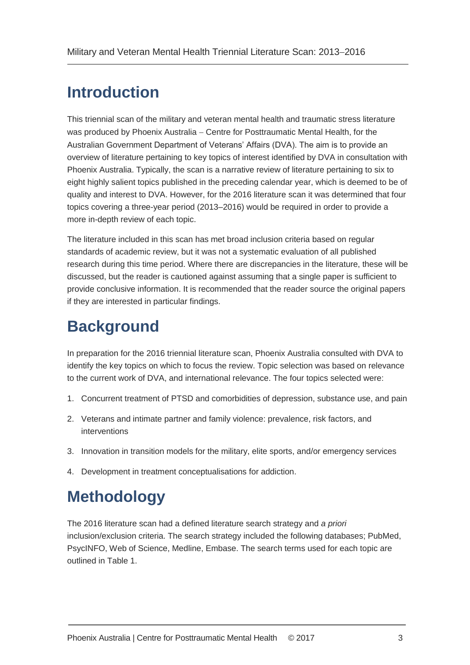## <span id="page-8-0"></span>**Introduction**

This triennial scan of the military and veteran mental health and traumatic stress literature was produced by Phoenix Australia - Centre for Posttraumatic Mental Health, for the Australian Government Department of Veterans' Affairs (DVA). The aim is to provide an overview of literature pertaining to key topics of interest identified by DVA in consultation with Phoenix Australia. Typically, the scan is a narrative review of literature pertaining to six to eight highly salient topics published in the preceding calendar year, which is deemed to be of quality and interest to DVA. However, for the 2016 literature scan it was determined that four topics covering a three-year period (2013–2016) would be required in order to provide a more in-depth review of each topic.

The literature included in this scan has met broad inclusion criteria based on regular standards of academic review, but it was not a systematic evaluation of all published research during this time period. Where there are discrepancies in the literature, these will be discussed, but the reader is cautioned against assuming that a single paper is sufficient to provide conclusive information. It is recommended that the reader source the original papers if they are interested in particular findings.

## <span id="page-8-1"></span>**Background**

In preparation for the 2016 triennial literature scan, Phoenix Australia consulted with DVA to identify the key topics on which to focus the review. Topic selection was based on relevance to the current work of DVA, and international relevance. The four topics selected were:

- 1. Concurrent treatment of PTSD and comorbidities of depression, substance use, and pain
- 2. Veterans and intimate partner and family violence: prevalence, risk factors, and interventions
- 3. Innovation in transition models for the military, elite sports, and/or emergency services
- 4. Development in treatment conceptualisations for addiction.

## <span id="page-8-2"></span>**Methodology**

The 2016 literature scan had a defined literature search strategy and *a priori*  inclusion/exclusion criteria. The search strategy included the following databases; PubMed, PsycINFO, Web of Science, Medline, Embase. The search terms used for each topic are outlined in Table 1.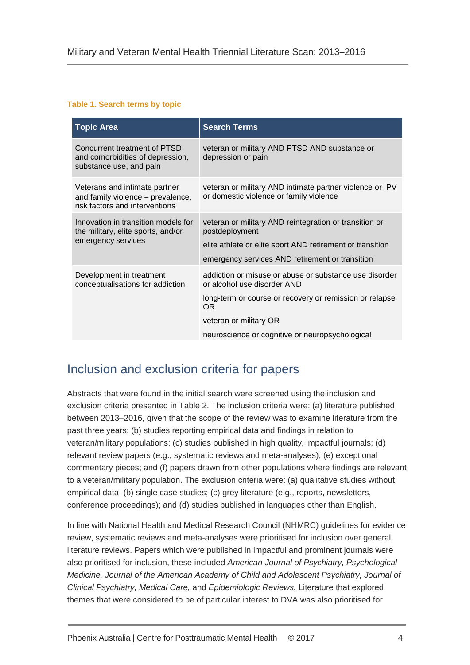#### **Table 1. Search terms by topic**

| <b>Topic Area</b>                                                                                    | <b>Search Terms</b>                                                                                                                                                                                                                  |
|------------------------------------------------------------------------------------------------------|--------------------------------------------------------------------------------------------------------------------------------------------------------------------------------------------------------------------------------------|
| Concurrent treatment of PTSD<br>and comorbidities of depression,<br>substance use, and pain          | veteran or military AND PTSD AND substance or<br>depression or pain                                                                                                                                                                  |
| Veterans and intimate partner<br>and family violence – prevalence,<br>risk factors and interventions | veteran or military AND intimate partner violence or IPV<br>or domestic violence or family violence                                                                                                                                  |
| Innovation in transition models for<br>the military, elite sports, and/or<br>emergency services      | veteran or military AND reintegration or transition or<br>postdeployment<br>elite athlete or elite sport AND retirement or transition<br>emergency services AND retirement or transition                                             |
| Development in treatment<br>conceptualisations for addiction                                         | addiction or misuse or abuse or substance use disorder<br>or alcohol use disorder AND<br>long-term or course or recovery or remission or relapse<br>OR.<br>veteran or military OR<br>neuroscience or cognitive or neuropsychological |

## Inclusion and exclusion criteria for papers

Abstracts that were found in the initial search were screened using the inclusion and exclusion criteria presented in Table 2. The inclusion criteria were: (a) literature published between 2013–2016, given that the scope of the review was to examine literature from the past three years; (b) studies reporting empirical data and findings in relation to veteran/military populations; (c) studies published in high quality, impactful journals; (d) relevant review papers (e.g., systematic reviews and meta-analyses); (e) exceptional commentary pieces; and (f) papers drawn from other populations where findings are relevant to a veteran/military population. The exclusion criteria were: (a) qualitative studies without empirical data; (b) single case studies; (c) grey literature (e.g., reports, newsletters, conference proceedings); and (d) studies published in languages other than English.

In line with National Health and Medical Research Council (NHMRC) guidelines for evidence review, systematic reviews and meta-analyses were prioritised for inclusion over general literature reviews. Papers which were published in impactful and prominent journals were also prioritised for inclusion, these included *American Journal of Psychiatry, Psychological Medicine, Journal of the American Academy of Child and Adolescent Psychiatry, Journal of Clinical Psychiatry, Medical Care,* and *Epidemiologic Reviews.* Literature that explored themes that were considered to be of particular interest to DVA was also prioritised for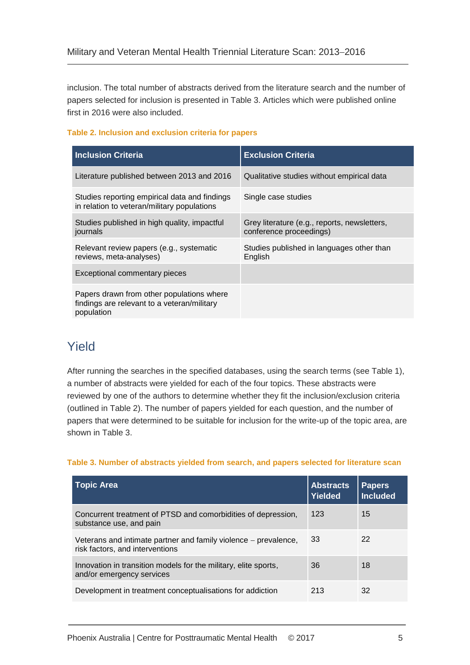inclusion. The total number of abstracts derived from the literature search and the number of papers selected for inclusion is presented in Table 3. Articles which were published online first in 2016 were also included.

#### **Table 2. Inclusion and exclusion criteria for papers**

| <b>Inclusion Criteria</b>                                                                              | <b>Exclusion Criteria</b>                                               |
|--------------------------------------------------------------------------------------------------------|-------------------------------------------------------------------------|
| Literature published between 2013 and 2016                                                             | Qualitative studies without empirical data                              |
| Studies reporting empirical data and findings<br>in relation to veteran/military populations           | Single case studies                                                     |
| Studies published in high quality, impactful<br>journals                                               | Grey literature (e.g., reports, newsletters,<br>conference proceedings) |
| Relevant review papers (e.g., systematic<br>reviews, meta-analyses)                                    | Studies published in languages other than<br>English                    |
| Exceptional commentary pieces                                                                          |                                                                         |
| Papers drawn from other populations where<br>findings are relevant to a veteran/military<br>population |                                                                         |

## Yield

After running the searches in the specified databases, using the search terms (see Table 1), a number of abstracts were yielded for each of the four topics. These abstracts were reviewed by one of the authors to determine whether they fit the inclusion/exclusion criteria (outlined in Table 2). The number of papers yielded for each question, and the number of papers that were determined to be suitable for inclusion for the write-up of the topic area, are shown in Table 3.

#### **Table 3. Number of abstracts yielded from search, and papers selected for literature scan**

| <b>Topic Area</b>                                                                                  | <b>Abstracts</b><br><b>Yielded</b> | <b>Papers</b><br><b>Included</b> |
|----------------------------------------------------------------------------------------------------|------------------------------------|----------------------------------|
| Concurrent treatment of PTSD and comorbidities of depression,<br>substance use, and pain           | 123                                | 15                               |
| Veterans and intimate partner and family violence – prevalence,<br>risk factors, and interventions | 33                                 | 22                               |
| Innovation in transition models for the military, elite sports,<br>and/or emergency services       | 36                                 | 18                               |
| Development in treatment conceptualisations for addiction                                          | 213                                | 32                               |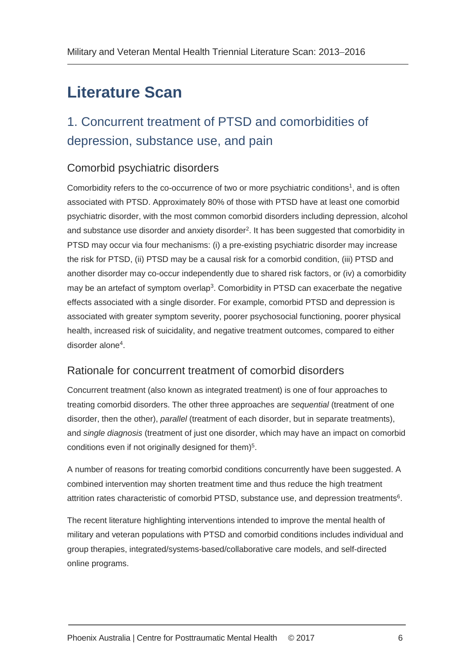## <span id="page-11-0"></span>**Literature Scan**

## <span id="page-11-1"></span>1. Concurrent treatment of PTSD and comorbidities of depression, substance use, and pain

## Comorbid psychiatric disorders

Comorbidity refers to the co-occurrence of two or more psychiatric conditions<sup>[1](#page-51-1)</sup>, and is often associated with PTSD. Approximately 80% of those with PTSD have at least one comorbid psychiatric disorder, with the most common comorbid disorders including depression, alcohol and substance use diso[r](#page-51-2)der and anxiety disorder<sup>2</sup>. It has been suggested that comorbidity in PTSD may occur via four mechanisms: (i) a pre-existing psychiatric disorder may increase the risk for PTSD, (ii) PTSD may be a causal risk for a comorbid condition, (iii) PTSD and another disorder may co-occur independently due to shared risk factors, or (iv) a comorbidity may be an artefact of sym[p](#page-51-3)tom overlap<sup>3</sup>. Comorbidity in PTSD can exacerbate the negative effects associated with a single disorder. For example, comorbid PTSD and depression is associated with greater symptom severity, poorer psychosocial functioning, poorer physical health, increased risk of suicidality, and negative treatment outcomes, compared to either disord[e](#page-51-4)r alone<sup>4</sup>.

## Rationale for concurrent treatment of comorbid disorders

Concurrent treatment (also known as integrated treatment) is one of four approaches to treating comorbid disorders. The other three approaches are *sequential* (treatment of one disorder, then the other), *parallel* (treatment of each disorder, but in separate treatments), and *single diagnosis* (treatment of just one disorder, which may have an impact on comorbid conditions even if not originally designed for them[\)](#page-51-5)<sup>5</sup>.

A number of reasons for treating comorbid conditions concurrently have been suggested. A combined intervention may shorten treatment time and thus reduce the high treatment attrition rates characteristic of comorbid PTSD, substance use, and depression treatments<sup>[6](#page-51-6)</sup>.

The recent literature highlighting interventions intended to improve the mental health of military and veteran populations with PTSD and comorbid conditions includes individual and group therapies, integrated/systems-based/collaborative care models, and self-directed online programs.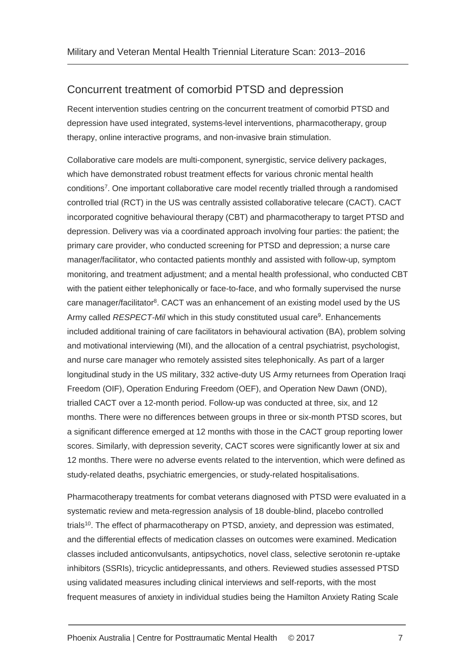### Concurrent treatment of comorbid PTSD and depression

Recent intervention studies centring on the concurrent treatment of comorbid PTSD and depression have used integrated, systems-level interventions, pharmacotherapy, group therapy, online interactive programs, and non-invasive brain stimulation.

Collaborative care models are multi-component, synergistic, service delivery packages, which have demonstrated robust treatment effects for various chronic mental health conditions<sup>[7](#page-51-7)</sup>. One important collaborative care model recently trialled through a randomised controlled trial (RCT) in the US was centrally assisted collaborative telecare (CACT). CACT incorporated cognitive behavioural therapy (CBT) and pharmacotherapy to target PTSD and depression. Delivery was via a coordinated approach involving four parties: the patient; the primary care provider, who conducted screening for PTSD and depression; a nurse care manager/facilitator, who contacted patients monthly and assisted with follow-up, symptom monitoring, and treatment adjustment; and a mental health professional, who conducted CBT with the patient either telephonically or face-to-face, and who formally supervised the nurse care manager/facilitator<sup>[8](#page-51-8)</sup>. CACT was an enhancement of an existing model used by the US Army call[e](#page-51-9)d *RESPECT-Mil* which in this study constituted usual care<sup>9</sup>. Enhancements included additional training of care facilitators in behavioural activation (BA), problem solving and motivational interviewing (MI), and the allocation of a central psychiatrist, psychologist, and nurse care manager who remotely assisted sites telephonically. As part of a larger longitudinal study in the US military, 332 active-duty US Army returnees from Operation Iraqi Freedom (OIF), Operation Enduring Freedom (OEF), and Operation New Dawn (OND), trialled CACT over a 12-month period. Follow-up was conducted at three, six, and 12 months. There were no differences between groups in three or six-month PTSD scores, but a significant difference emerged at 12 months with those in the CACT group reporting lower scores. Similarly, with depression severity, CACT scores were significantly lower at six and 12 months. There were no adverse events related to the intervention, which were defined as study-related deaths, psychiatric emergencies, or study-related hospitalisations.

Pharmacotherapy treatments for combat veterans diagnosed with PTSD were evaluated in a systematic review and meta-regression analysis of 18 double-blind, placebo controlled trials<sup>[10](#page-51-10)</sup>. The effect of pharmacotherapy on PTSD, anxiety, and depression was estimated, and the differential effects of medication classes on outcomes were examined. Medication classes included anticonvulsants, antipsychotics, novel class, selective serotonin re-uptake inhibitors (SSRIs), tricyclic antidepressants, and others. Reviewed studies assessed PTSD using validated measures including clinical interviews and self-reports, with the most frequent measures of anxiety in individual studies being the Hamilton Anxiety Rating Scale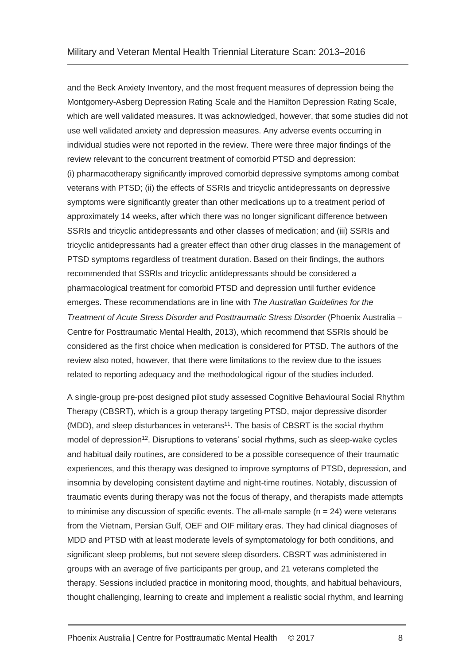and the Beck Anxiety Inventory, and the most frequent measures of depression being the Montgomery-Asberg Depression Rating Scale and the Hamilton Depression Rating Scale, which are well validated measures. It was acknowledged, however, that some studies did not use well validated anxiety and depression measures. Any adverse events occurring in individual studies were not reported in the review. There were three major findings of the review relevant to the concurrent treatment of comorbid PTSD and depression: (i) pharmacotherapy significantly improved comorbid depressive symptoms among combat veterans with PTSD; (ii) the effects of SSRIs and tricyclic antidepressants on depressive symptoms were significantly greater than other medications up to a treatment period of approximately 14 weeks, after which there was no longer significant difference between SSRIs and tricyclic antidepressants and other classes of medication; and (iii) SSRIs and tricyclic antidepressants had a greater effect than other drug classes in the management of PTSD symptoms regardless of treatment duration. Based on their findings, the authors recommended that SSRIs and tricyclic antidepressants should be considered a pharmacological treatment for comorbid PTSD and depression until further evidence emerges. These recommendations are in line with *The Australian Guidelines for the Treatment of Acute Stress Disorder and Posttraumatic Stress Disorder* (Phoenix Australia Centre for Posttraumatic Mental Health, 2013), which recommend that SSRIs should be considered as the first choice when medication is considered for PTSD. The authors of the review also noted, however, that there were limitations to the review due to the issues related to reporting adequacy and the methodological rigour of the studies included.

A single-group pre-post designed pilot study assessed Cognitive Behavioural Social Rhythm Therapy (CBSRT), which is a group therapy targeting PTSD, major depressive disorder (MDD), and sleep disturbances in veterans<sup>[11](#page-51-11)</sup>. The basis of CBSRT is the social rhythm model of depression<sup>[12](#page-51-12)</sup>. Disruptions to veterans' social rhythms, such as sleep-wake cycles and habitual daily routines, are considered to be a possible consequence of their traumatic experiences, and this therapy was designed to improve symptoms of PTSD, depression, and insomnia by developing consistent daytime and night-time routines. Notably, discussion of traumatic events during therapy was not the focus of therapy, and therapists made attempts to minimise any discussion of specific events. The all-male sample  $(n = 24)$  were veterans from the Vietnam, Persian Gulf, OEF and OIF military eras. They had clinical diagnoses of MDD and PTSD with at least moderate levels of symptomatology for both conditions, and significant sleep problems, but not severe sleep disorders. CBSRT was administered in groups with an average of five participants per group, and 21 veterans completed the therapy. Sessions included practice in monitoring mood, thoughts, and habitual behaviours, thought challenging, learning to create and implement a realistic social rhythm, and learning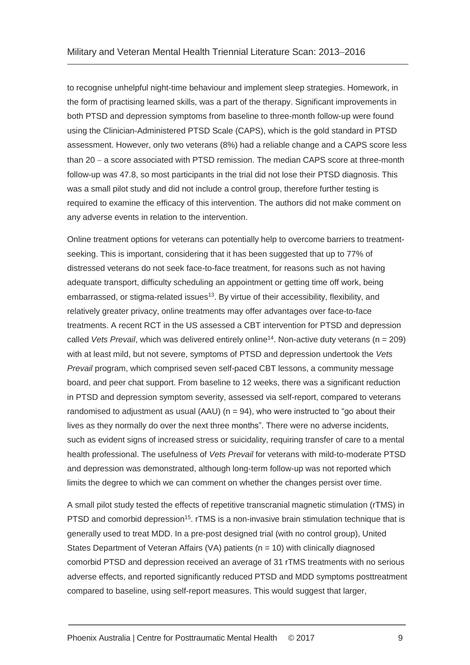to recognise unhelpful night-time behaviour and implement sleep strategies. Homework, in the form of practising learned skills, was a part of the therapy. Significant improvements in both PTSD and depression symptoms from baseline to three-month follow-up were found using the Clinician-Administered PTSD Scale (CAPS), which is the gold standard in PTSD assessment. However, only two veterans (8%) had a reliable change and a CAPS score less than  $20 - a$  score associated with PTSD remission. The median CAPS score at three-month follow-up was 47.8, so most participants in the trial did not lose their PTSD diagnosis. This was a small pilot study and did not include a control group, therefore further testing is required to examine the efficacy of this intervention. The authors did not make comment on any adverse events in relation to the intervention.

Online treatment options for veterans can potentially help to overcome barriers to treatmentseeking. This is important, considering that it has been suggested that up to 77% of distressed veterans do not seek face-to-face treatment, for reasons such as not having adequate transport, difficulty scheduling an appointment or getting time off work, being embarrassed, or stigma-related issues<sup>[13](#page-51-13)</sup>. By virtue of their accessibility, flexibility, and relatively greater privacy, online treatments may offer advantages over face-to-face treatments. A recent RCT in the US assessed a CBT intervention for PTSD and depression called *Vets Prevail*, which was delivered entirely online<sup>[14](#page-51-14)</sup>. Non-active duty veterans (n = 209) with at least mild, but not severe, symptoms of PTSD and depression undertook the *Vets Prevail* program, which comprised seven self-paced CBT lessons, a community message board, and peer chat support. From baseline to 12 weeks, there was a significant reduction in PTSD and depression symptom severity, assessed via self-report, compared to veterans randomised to adjustment as usual (AAU) ( $n = 94$ ), who were instructed to "go about their lives as they normally do over the next three months". There were no adverse incidents, such as evident signs of increased stress or suicidality, requiring transfer of care to a mental health professional. The usefulness of *Vets Prevail* for veterans with mild-to-moderate PTSD and depression was demonstrated, although long-term follow-up was not reported which limits the degree to which we can comment on whether the changes persist over time.

A small pilot study tested the effects of repetitive transcranial magnetic stimulation (rTMS) in PTSD and comorbid depression<sup>[15](#page-51-15)</sup>. rTMS is a non-invasive brain stimulation technique that is generally used to treat MDD. In a pre-post designed trial (with no control group), United States Department of Veteran Affairs (VA) patients ( $n = 10$ ) with clinically diagnosed comorbid PTSD and depression received an average of 31 rTMS treatments with no serious adverse effects, and reported significantly reduced PTSD and MDD symptoms posttreatment compared to baseline, using self-report measures. This would suggest that larger,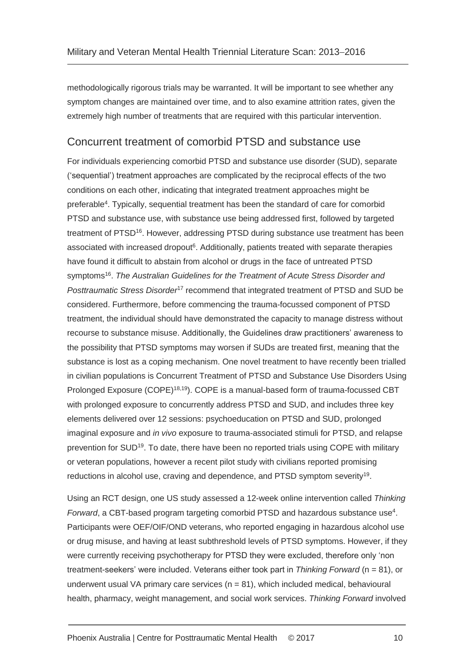methodologically rigorous trials may be warranted. It will be important to see whether any symptom changes are maintained over time, and to also examine attrition rates, given the extremely high number of treatments that are required with this particular intervention.

## Concurrent treatment of comorbid PTSD and substance use

For individuals experiencing comorbid PTSD and substance use disorder (SUD), separate ('sequential') treatment approaches are complicated by the reciprocal effects of the two conditions on each other, indicating that integrated treatment approaches might be preferable<sup>[4](#page-51-4)</sup>. Typically, sequential treatment has been the standard of care for comorbid PTSD and substance use, with substance use being addressed first, followed by targeted treatment of PTSD<sup>[16](#page-51-16)</sup>. However, addressing PTSD during substance use treatment has been associated with increased dropout<sup>[6](#page-51-6)</sup>. Additionally, patients treated with separate therapies have found it difficult to abstain from alcohol or drugs in the face of untreated PTSD symptoms<sup>[16](#page-51-16)</sup>. The Australian Guidelines for the Treatment of Acute Stress Disorder and *Posttraumatic Stress Disorder*[17](#page-51-17) recommend that integrated treatment of PTSD and SUD be considered. Furthermore, before commencing the trauma-focussed component of PTSD treatment, the individual should have demonstrated the capacity to manage distress without recourse to substance misuse. Additionally, the Guidelines draw practitioners' awareness to the possibility that PTSD symptoms may worsen if SUDs are treated first, meaning that the substance is lost as a coping mechanism. One novel treatment to have recently been trialled in civilian populations is Concurrent Treatment of PTSD and Substance Use Disorders Using Prolonged Exposure (COPE)<sup>[18,](#page-52-0)[19](#page-52-1)</sup>). COPE is a manual-based form of trauma-focussed CBT with prolonged exposure to concurrently address PTSD and SUD, and includes three key elements delivered over 12 sessions: psychoeducation on PTSD and SUD, prolonged imaginal exposure and *in vivo* exposure to trauma-associated stimuli for PTSD, and relapse prevention for SUD<sup>[19](#page-52-1)</sup>. To date, there have been no reported trials using COPE with military or veteran populations, however a recent pilot study with civilians reported promising reductions in alcohol use, craving and dependence, and PTSD symptom severity<sup>[19](#page-52-1)</sup>.

Using an RCT design, one US study assessed a 12-week online intervention called *Thinking*  Forward, a CBT-based program targeting comorbid PTSD and hazardous substance use<sup>[4](#page-51-4)</sup>. Participants were OEF/OIF/OND veterans, who reported engaging in hazardous alcohol use or drug misuse, and having at least subthreshold levels of PTSD symptoms. However, if they were currently receiving psychotherapy for PTSD they were excluded, therefore only 'non treatment-seekers' were included. Veterans either took part in *Thinking Forward* (n = 81), or underwent usual VA primary care services  $(n = 81)$ , which included medical, behavioural health, pharmacy, weight management, and social work services. *Thinking Forward* involved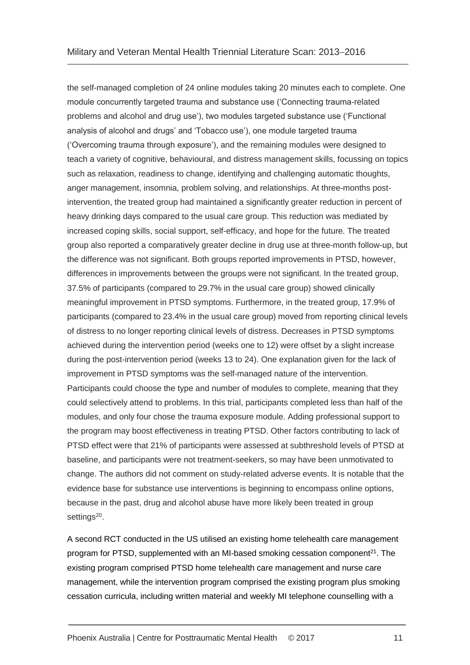the self-managed completion of 24 online modules taking 20 minutes each to complete. One module concurrently targeted trauma and substance use ('Connecting trauma-related problems and alcohol and drug use'), two modules targeted substance use ('Functional analysis of alcohol and drugs' and 'Tobacco use'), one module targeted trauma ('Overcoming trauma through exposure'), and the remaining modules were designed to teach a variety of cognitive, behavioural, and distress management skills, focussing on topics such as relaxation, readiness to change, identifying and challenging automatic thoughts, anger management, insomnia, problem solving, and relationships. At three-months postintervention, the treated group had maintained a significantly greater reduction in percent of heavy drinking days compared to the usual care group. This reduction was mediated by increased coping skills, social support, self-efficacy, and hope for the future. The treated group also reported a comparatively greater decline in drug use at three-month follow-up, but the difference was not significant. Both groups reported improvements in PTSD, however, differences in improvements between the groups were not significant. In the treated group, 37.5% of participants (compared to 29.7% in the usual care group) showed clinically meaningful improvement in PTSD symptoms. Furthermore, in the treated group, 17.9% of participants (compared to 23.4% in the usual care group) moved from reporting clinical levels of distress to no longer reporting clinical levels of distress. Decreases in PTSD symptoms achieved during the intervention period (weeks one to 12) were offset by a slight increase during the post-intervention period (weeks 13 to 24). One explanation given for the lack of improvement in PTSD symptoms was the self-managed nature of the intervention. Participants could choose the type and number of modules to complete, meaning that they could selectively attend to problems. In this trial, participants completed less than half of the modules, and only four chose the trauma exposure module. Adding professional support to the program may boost effectiveness in treating PTSD. Other factors contributing to lack of PTSD effect were that 21% of participants were assessed at subthreshold levels of PTSD at baseline, and participants were not treatment-seekers, so may have been unmotivated to change. The authors did not comment on study-related adverse events. It is notable that the evidence base for substance use interventions is beginning to encompass online options, because in the past, drug and alcohol abuse have more likely been treated in group settings<sup>[20](#page-52-2)</sup>.

A second RCT conducted in the US utilised an existing home telehealth care management program for PTSD, supplemented with an MI-based smoking cessation component<sup>[21](#page-52-3)</sup>. The existing program comprised PTSD home telehealth care management and nurse care management, while the intervention program comprised the existing program plus smoking cessation curricula, including written material and weekly MI telephone counselling with a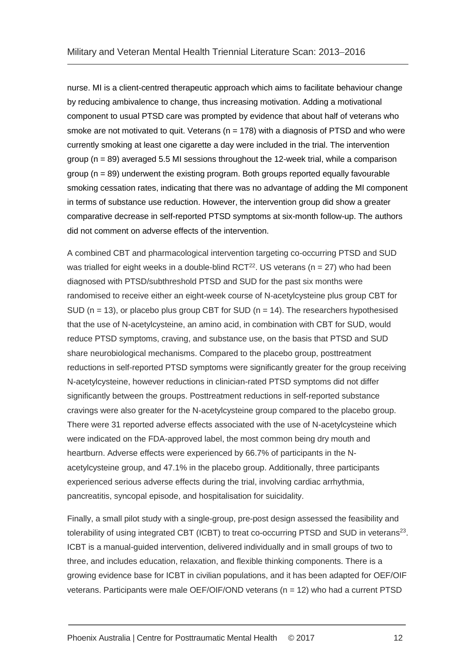nurse. MI is a client-centred therapeutic approach which aims to facilitate behaviour change by reducing ambivalence to change, thus increasing motivation. Adding a motivational component to usual PTSD care was prompted by evidence that about half of veterans who smoke are not motivated to quit. Veterans  $(n = 178)$  with a diagnosis of PTSD and who were currently smoking at least one cigarette a day were included in the trial. The intervention group ( $n = 89$ ) averaged 5.5 MI sessions throughout the 12-week trial, while a comparison group ( $n = 89$ ) underwent the existing program. Both groups reported equally favourable smoking cessation rates, indicating that there was no advantage of adding the MI component in terms of substance use reduction. However, the intervention group did show a greater comparative decrease in self-reported PTSD symptoms at six-month follow-up. The authors did not comment on adverse effects of the intervention.

A combined CBT and pharmacological intervention targeting co-occurring PTSD and SUD was trialled for eight weeks in a double-blind RCT<sup>[22](#page-52-4)</sup>. US veterans ( $n = 27$ ) who had been diagnosed with PTSD/subthreshold PTSD and SUD for the past six months were randomised to receive either an eight-week course of N-acetylcysteine plus group CBT for SUD ( $n = 13$ ), or placebo plus group CBT for SUD ( $n = 14$ ). The researchers hypothesised that the use of N-acetylcysteine, an amino acid, in combination with CBT for SUD, would reduce PTSD symptoms, craving, and substance use, on the basis that PTSD and SUD share neurobiological mechanisms. Compared to the placebo group, posttreatment reductions in self-reported PTSD symptoms were significantly greater for the group receiving N-acetylcysteine, however reductions in clinician-rated PTSD symptoms did not differ significantly between the groups. Posttreatment reductions in self-reported substance cravings were also greater for the N-acetylcysteine group compared to the placebo group. There were 31 reported adverse effects associated with the use of N-acetylcysteine which were indicated on the FDA-approved label, the most common being dry mouth and heartburn. Adverse effects were experienced by 66.7% of participants in the Nacetylcysteine group, and 47.1% in the placebo group. Additionally, three participants experienced serious adverse effects during the trial, involving cardiac arrhythmia, pancreatitis, syncopal episode, and hospitalisation for suicidality.

Finally, a small pilot study with a single-group, pre-post design assessed the feasibility and tolerability of using integrated CBT (ICBT) to treat co-occurring PTSD and SUD in veterans<sup>[23](#page-52-5)</sup>. ICBT is a manual-guided intervention, delivered individually and in small groups of two to three, and includes education, relaxation, and flexible thinking components. There is a growing evidence base for ICBT in civilian populations, and it has been adapted for OEF/OIF veterans. Participants were male OEF/OIF/OND veterans (n = 12) who had a current PTSD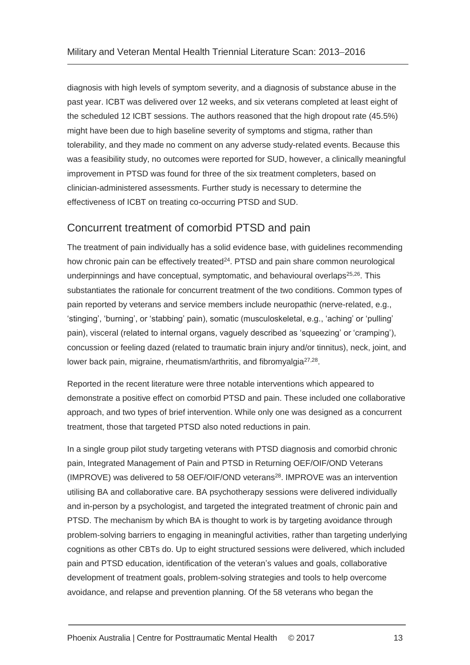diagnosis with high levels of symptom severity, and a diagnosis of substance abuse in the past year. ICBT was delivered over 12 weeks, and six veterans completed at least eight of the scheduled 12 ICBT sessions. The authors reasoned that the high dropout rate (45.5%) might have been due to high baseline severity of symptoms and stigma, rather than tolerability, and they made no comment on any adverse study-related events. Because this was a feasibility study, no outcomes were reported for SUD, however, a clinically meaningful improvement in PTSD was found for three of the six treatment completers, based on clinician-administered assessments. Further study is necessary to determine the effectiveness of ICBT on treating co-occurring PTSD and SUD.

## Concurrent treatment of comorbid PTSD and pain

The treatment of pain individually has a solid evidence base, with guidelines recommending how chronic pain can be effectively treated<sup>[24](#page-52-6)</sup>. PTSD and pain share common neurological underpinnings and have conceptual, symptomatic, and behavioural overlaps $25,26$  $25,26$ . This substantiates the rationale for concurrent treatment of the two conditions. Common types of pain reported by veterans and service members include neuropathic (nerve-related, e.g., 'stinging', 'burning', or 'stabbing' pain), somatic (musculoskeletal, e.g., 'aching' or 'pulling' pain), visceral (related to internal organs, vaguely described as 'squeezing' or 'cramping'), concussion or feeling dazed (related to traumatic brain injury and/or tinnitus), neck, joint, and lower back pain, migraine, rheumatism/arthritis, and fibromyalgia<sup>[27](#page-52-9)[,28](#page-52-10)</sup>.

Reported in the recent literature were three notable interventions which appeared to demonstrate a positive effect on comorbid PTSD and pain. These included one collaborative approach, and two types of brief intervention. While only one was designed as a concurrent treatment, those that targeted PTSD also noted reductions in pain.

In a single group pilot study targeting veterans with PTSD diagnosis and comorbid chronic pain, Integrated Management of Pain and PTSD in Returning OEF/OIF/OND Veterans (IMPROVE) was delivered to 58 OEF/OIF/OND veterans<sup>[28](#page-52-10)</sup>. IMPROVE was an intervention utilising BA and collaborative care. BA psychotherapy sessions were delivered individually and in-person by a psychologist, and targeted the integrated treatment of chronic pain and PTSD. The mechanism by which BA is thought to work is by targeting avoidance through problem-solving barriers to engaging in meaningful activities, rather than targeting underlying cognitions as other CBTs do. Up to eight structured sessions were delivered, which included pain and PTSD education, identification of the veteran's values and goals, collaborative development of treatment goals, problem-solving strategies and tools to help overcome avoidance, and relapse and prevention planning. Of the 58 veterans who began the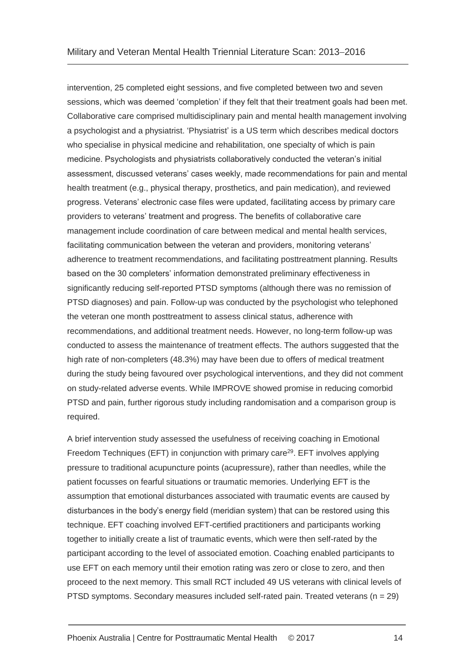intervention, 25 completed eight sessions, and five completed between two and seven sessions, which was deemed 'completion' if they felt that their treatment goals had been met. Collaborative care comprised multidisciplinary pain and mental health management involving a psychologist and a physiatrist. 'Physiatrist' is a US term which describes medical doctors who specialise in physical medicine and rehabilitation, one specialty of which is pain medicine. Psychologists and physiatrists collaboratively conducted the veteran's initial assessment, discussed veterans' cases weekly, made recommendations for pain and mental health treatment (e.g., physical therapy, prosthetics, and pain medication), and reviewed progress. Veterans' electronic case files were updated, facilitating access by primary care providers to veterans' treatment and progress. The benefits of collaborative care management include coordination of care between medical and mental health services, facilitating communication between the veteran and providers, monitoring veterans' adherence to treatment recommendations, and facilitating posttreatment planning. Results based on the 30 completers' information demonstrated preliminary effectiveness in significantly reducing self-reported PTSD symptoms (although there was no remission of PTSD diagnoses) and pain. Follow-up was conducted by the psychologist who telephoned the veteran one month posttreatment to assess clinical status, adherence with recommendations, and additional treatment needs. However, no long-term follow-up was conducted to assess the maintenance of treatment effects. The authors suggested that the high rate of non-completers (48.3%) may have been due to offers of medical treatment during the study being favoured over psychological interventions, and they did not comment on study-related adverse events. While IMPROVE showed promise in reducing comorbid PTSD and pain, further rigorous study including randomisation and a comparison group is required.

A brief intervention study assessed the usefulness of receiving coaching in Emotional Freedom Techniques (EFT) in conjunction with primary care<sup>[29](#page-52-11)</sup>. EFT involves applying pressure to traditional acupuncture points (acupressure), rather than needles, while the patient focusses on fearful situations or traumatic memories. Underlying EFT is the assumption that emotional disturbances associated with traumatic events are caused by disturbances in the body's energy field (meridian system) that can be restored using this technique. EFT coaching involved EFT-certified practitioners and participants working together to initially create a list of traumatic events, which were then self-rated by the participant according to the level of associated emotion. Coaching enabled participants to use EFT on each memory until their emotion rating was zero or close to zero, and then proceed to the next memory. This small RCT included 49 US veterans with clinical levels of PTSD symptoms. Secondary measures included self-rated pain. Treated veterans ( $n = 29$ )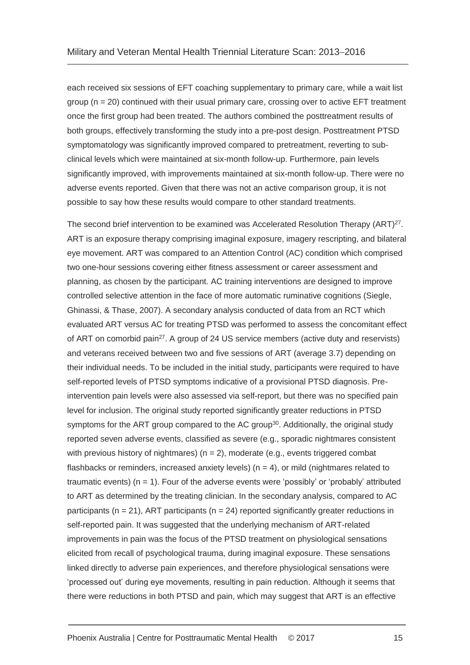each received six sessions of EFT coaching supplementary to primary care, while a wait list group ( $n = 20$ ) continued with their usual primary care, crossing over to active EFT treatment once the first group had been treated. The authors combined the posttreatment results of both groups, effectively transforming the study into a pre-post design. Posttreatment PTSD symptomatology was significantly improved compared to pretreatment, reverting to subclinical levels which were maintained at six-month follow-up. Furthermore, pain levels significantly improved, with improvements maintained at six-month follow-up. There were no adverse events reported. Given that there was not an active comparison group, it is not possible to say how these results would compare to other standard treatments.

The second brief intervention to be examined was Accelerated Resolution Therapy (ART)<sup>[27](#page-52-9)</sup>. ART is an exposure therapy comprising imaginal exposure, imagery rescripting, and bilateral eye movement. ART was compared to an Attention Control (AC) condition which comprised two one-hour sessions covering either fitness assessment or career assessment and planning, as chosen by the participant. AC training interventions are designed to improve controlled selective attention in the face of more automatic ruminative cognitions (Siegle, Ghinassi, & Thase, 2007). A secondary analysis conducted of data from an RCT which evaluated ART versus AC for treating PTSD was performed to assess the concomitant effect of ART on comorbid pain<sup>[27](#page-52-9)</sup>. A group of 24 US service members (active duty and reservists) and veterans received between two and five sessions of ART (average 3.7) depending on their individual needs. To be included in the initial study, participants were required to have self-reported levels of PTSD symptoms indicative of a provisional PTSD diagnosis. Preintervention pain levels were also assessed via self-report, but there was no specified pain level for inclusion. The original study reported significantly greater reductions in PTSD symptoms for the ART group compared to the AC group<sup>[30](#page-52-12)</sup>. Additionally, the original study reported seven adverse events, classified as severe (e.g., sporadic nightmares consistent with previous history of nightmares) ( $n = 2$ ), moderate (e.g., events triggered combat flashbacks or reminders, increased anxiety levels) ( $n = 4$ ), or mild (nightmares related to traumatic events) ( $n = 1$ ). Four of the adverse events were 'possibly' or 'probably' attributed to ART as determined by the treating clinician. In the secondary analysis, compared to AC participants ( $n = 21$ ), ART participants ( $n = 24$ ) reported significantly greater reductions in self-reported pain. It was suggested that the underlying mechanism of ART-related improvements in pain was the focus of the PTSD treatment on physiological sensations elicited from recall of psychological trauma, during imaginal exposure. These sensations linked directly to adverse pain experiences, and therefore physiological sensations were 'processed out' during eye movements, resulting in pain reduction. Although it seems that there were reductions in both PTSD and pain, which may suggest that ART is an effective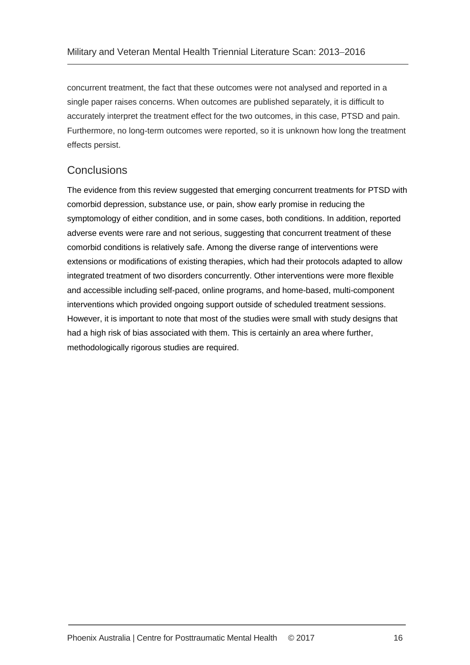concurrent treatment, the fact that these outcomes were not analysed and reported in a single paper raises concerns. When outcomes are published separately, it is difficult to accurately interpret the treatment effect for the two outcomes, in this case, PTSD and pain. Furthermore, no long-term outcomes were reported, so it is unknown how long the treatment effects persist.

## **Conclusions**

<span id="page-21-0"></span>The evidence from this review suggested that emerging concurrent treatments for PTSD with comorbid depression, substance use, or pain, show early promise in reducing the symptomology of either condition, and in some cases, both conditions. In addition, reported adverse events were rare and not serious, suggesting that concurrent treatment of these comorbid conditions is relatively safe. Among the diverse range of interventions were extensions or modifications of existing therapies, which had their protocols adapted to allow integrated treatment of two disorders concurrently. Other interventions were more flexible and accessible including self-paced, online programs, and home-based, multi-component interventions which provided ongoing support outside of scheduled treatment sessions. However, it is important to note that most of the studies were small with study designs that had a high risk of bias associated with them. This is certainly an area where further, methodologically rigorous studies are required.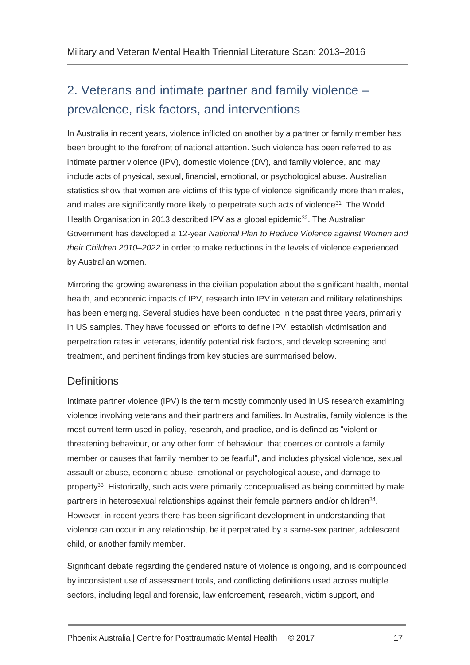## 2. Veterans and intimate partner and family violence – prevalence, risk factors, and interventions

In Australia in recent years, violence inflicted on another by a partner or family member has been brought to the forefront of national attention. Such violence has been referred to as intimate partner violence (IPV), domestic violence (DV), and family violence, and may include acts of physical, sexual, financial, emotional, or psychological abuse. Australian statistics show that women are victims of this type of violence significantly more than males, and males are significantly more likely to perpetrate such acts of violence<sup>[31](#page-52-13)</sup>. The World Health Organisation in 2013 described IPV as a global epidemic<sup>[32](#page-52-14)</sup>. The Australian Government has developed a 12-year *National Plan to Reduce Violence against Women and their Children 2010–2022* in order to make reductions in the levels of violence experienced by Australian women.

Mirroring the growing awareness in the civilian population about the significant health, mental health, and economic impacts of IPV, research into IPV in veteran and military relationships has been emerging. Several studies have been conducted in the past three years, primarily in US samples. They have focussed on efforts to define IPV, establish victimisation and perpetration rates in veterans, identify potential risk factors, and develop screening and treatment, and pertinent findings from key studies are summarised below.

## **Definitions**

Intimate partner violence (IPV) is the term mostly commonly used in US research examining violence involving veterans and their partners and families. In Australia, family violence is the most current term used in policy, research, and practice, and is defined as "violent or threatening behaviour, or any other form of behaviour, that coerces or controls a family member or causes that family member to be fearful", and includes physical violence, sexual assault or abuse, economic abuse, emotional or psychological abuse, and damage to property<sup>[33](#page-52-15)</sup>. Historically, such acts were primarily conceptualised as being committed by male partners in heterosexual relationships against their female partners and/or children<sup>[34](#page-52-16)</sup>. However, in recent years there has been significant development in understanding that violence can occur in any relationship, be it perpetrated by a same-sex partner, adolescent child, or another family member.

Significant debate regarding the gendered nature of violence is ongoing, and is compounded by inconsistent use of assessment tools, and conflicting definitions used across multiple sectors, including legal and forensic, law enforcement, research, victim support, and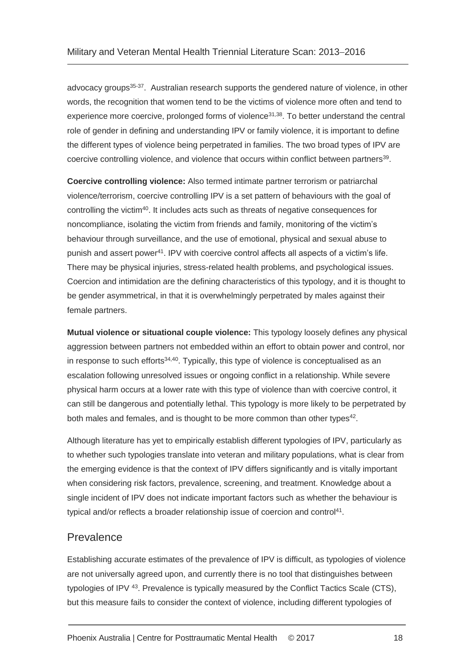advocacy groups<sup>[35-37](#page-52-17)</sup>. Australian research supports the gendered nature of violence, in other words, the recognition that women tend to be the victims of violence more often and tend to experience more coercive, prolonged forms of violence $31,38$  $31,38$ . To better understand the central role of gender in defining and understanding IPV or family violence, it is important to define the different types of violence being perpetrated in families. The two broad types of IPV are coercive controlling violence, and violence that occurs within conflict between partners<sup>[39](#page-52-19)</sup>.

**Coercive controlling violence:** Also termed intimate partner terrorism or patriarchal violence/terrorism, coercive controlling IPV is a set pattern of behaviours with the goal of controlling the victim<sup>[40](#page-53-0)</sup>. It includes acts such as threats of negative consequences for noncompliance, isolating the victim from friends and family, monitoring of the victim's behaviour through surveillance, and the use of emotional, physical and sexual abuse to punish and assert power<sup>[41](#page-53-1)</sup>. IPV with coercive control affects all aspects of a victim's life. There may be physical injuries, stress-related health problems, and psychological issues. Coercion and intimidation are the defining characteristics of this typology, and it is thought to be gender asymmetrical, in that it is overwhelmingly perpetrated by males against their female partners.

**Mutual violence or situational couple violence:** This typology loosely defines any physical aggression between partners not embedded within an effort to obtain power and control, nor in response to such efforts<sup>[34,](#page-52-16)[40](#page-53-0)</sup>. Typically, this type of violence is conceptualised as an escalation following unresolved issues or ongoing conflict in a relationship. While severe physical harm occurs at a lower rate with this type of violence than with coercive control, it can still be dangerous and potentially lethal. This typology is more likely to be perpetrated by both males and females, and is thought to be more common than other types<sup>[42](#page-53-2)</sup>.

Although literature has yet to empirically establish different typologies of IPV, particularly as to whether such typologies translate into veteran and military populations, what is clear from the emerging evidence is that the context of IPV differs significantly and is vitally important when considering risk factors, prevalence, screening, and treatment. Knowledge about a single incident of IPV does not indicate important factors such as whether the behaviour is typical and/or reflects a broader relationship issue of coercion and control<sup>[41](#page-53-1)</sup>.

### **Prevalence**

Establishing accurate estimates of the prevalence of IPV is difficult, as typologies of violence are not universally agreed upon, and currently there is no tool that distinguishes between typologies of IPV<sup>[43](#page-53-3)</sup>. Prevalence is typically measured by the Conflict Tactics Scale (CTS), but this measure fails to consider the context of violence, including different typologies of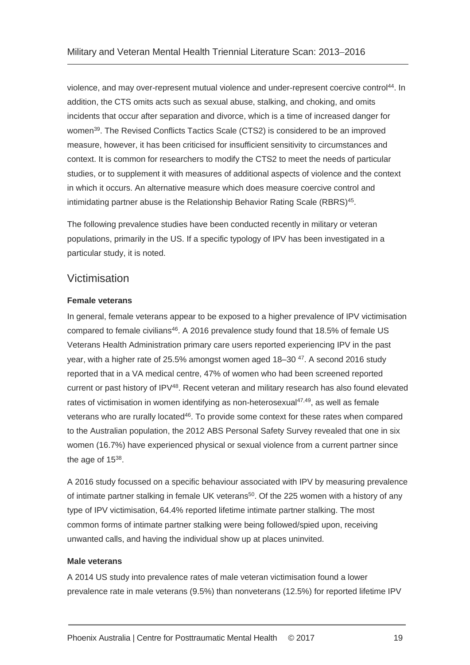violence, and may over-represent mutual violence and under-represent coercive control<sup>[44](#page-53-4)</sup>. In addition, the CTS omits acts such as sexual abuse, stalking, and choking, and omits incidents that occur after separation and divorce, which is a time of increased danger for women<sup>[39](#page-52-19)</sup>. The Revised Conflicts Tactics Scale (CTS2) is considered to be an improved measure, however, it has been criticised for insufficient sensitivity to circumstances and context. It is common for researchers to modify the CTS2 to meet the needs of particular studies, or to supplement it with measures of additional aspects of violence and the context in which it occurs. An alternative measure which does measure coercive control and intimidating partner abuse is the Relationship Behavior Rating Scale (RBRS) [45](#page-53-5) .

The following prevalence studies have been conducted recently in military or veteran populations, primarily in the US. If a specific typology of IPV has been investigated in a particular study, it is noted.

#### Victimisation

#### **Female veterans**

In general, female veterans appear to be exposed to a higher prevalence of IPV victimisation compared to female civilians<sup>[46](#page-53-6)</sup>. A 2016 prevalence study found that 18.5% of female US Veterans Health Administration primary care users reported experiencing IPV in the past year, with a higher rate of 25.5% amongst women aged 18–30<sup>[47](#page-53-7)</sup>. A second 2016 study reported that in a VA medical centre, 47% of women who had been screened reported current or past history of IPV<sup>[48](#page-53-8)</sup>. Recent veteran and military research has also found elevated rates of victimisation in women identifying as non-heterosexual<sup>[47](#page-53-7)[,49](#page-53-9)</sup>, as well as female veterans who are rurally located<sup>[46](#page-53-6)</sup>. To provide some context for these rates when compared to the Australian population, the 2012 ABS Personal Safety Survey revealed that one in six women (16.7%) have experienced physical or sexual violence from a current partner since the age of  $15^{38}$  $15^{38}$  $15^{38}$ .

A 2016 study focussed on a specific behaviour associated with IPV by measuring prevalence of intimate partner stalking in female UK veterans<sup>[50](#page-53-10)</sup>. Of the 225 women with a history of any type of IPV victimisation, 64.4% reported lifetime intimate partner stalking. The most common forms of intimate partner stalking were being followed/spied upon, receiving unwanted calls, and having the individual show up at places uninvited.

#### **Male veterans**

A 2014 US study into prevalence rates of male veteran victimisation found a lower prevalence rate in male veterans (9.5%) than nonveterans (12.5%) for reported lifetime IPV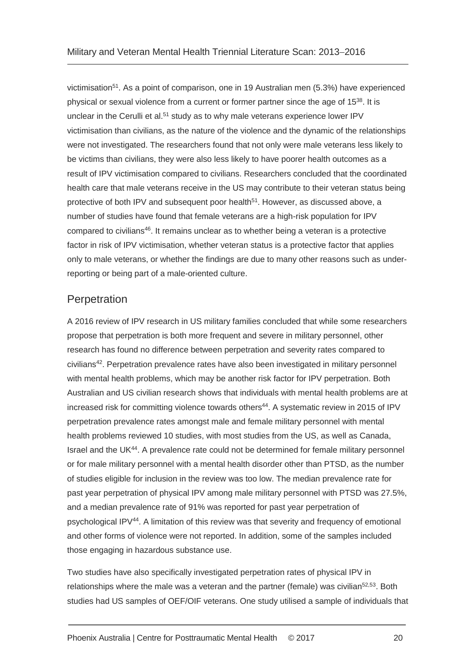victimisation<sup>[51](#page-53-11)</sup>. As a point of comparison, one in 19 Australian men (5.3%) have experienced physical or sexual violence from a current or former partner since the age of 15<sup>[38](#page-52-18)</sup>. It is unclear in the Cerulli et al.<sup>[51](#page-53-11)</sup> study as to why male veterans experience lower IPV victimisation than civilians, as the nature of the violence and the dynamic of the relationships were not investigated. The researchers found that not only were male veterans less likely to be victims than civilians, they were also less likely to have poorer health outcomes as a result of IPV victimisation compared to civilians. Researchers concluded that the coordinated health care that male veterans receive in the US may contribute to their veteran status being protective of both IPV and subsequent poor health<sup>[51](#page-53-11)</sup>. However, as discussed above, a number of studies have found that female veterans are a high-risk population for IPV compared to civilians<sup>[46](#page-53-6)</sup>. It remains unclear as to whether being a veteran is a protective factor in risk of IPV victimisation, whether veteran status is a protective factor that applies only to male veterans, or whether the findings are due to many other reasons such as underreporting or being part of a male-oriented culture.

## **Perpetration**

A 2016 review of IPV research in US military families concluded that while some researchers propose that perpetration is both more frequent and severe in military personnel, other research has found no difference between perpetration and severity rates compared to civilians<sup>[42](#page-53-2)</sup>. Perpetration prevalence rates have also been investigated in military personnel with mental health problems, which may be another risk factor for IPV perpetration. Both Australian and US civilian research shows that individuals with mental health problems are at increased risk for committing violence towards others<sup>[44](#page-53-4)</sup>. A systematic review in 2015 of IPV perpetration prevalence rates amongst male and female military personnel with mental health problems reviewed 10 studies, with most studies from the US, as well as Canada, Israel and the UK<sup>[44](#page-53-4)</sup>. A prevalence rate could not be determined for female military personnel or for male military personnel with a mental health disorder other than PTSD, as the number of studies eligible for inclusion in the review was too low. The median prevalence rate for past year perpetration of physical IPV among male military personnel with PTSD was 27.5%, and a median prevalence rate of 91% was reported for past year perpetration of psychological IPV<sup>[44](#page-53-4)</sup>. A limitation of this review was that severity and frequency of emotional and other forms of violence were not reported. In addition, some of the samples included those engaging in hazardous substance use.

Two studies have also specifically investigated perpetration rates of physical IPV in relationships where the male was a veteran and the partner (female) was civilian $52,53$  $52,53$ . Both studies had US samples of OEF/OIF veterans. One study utilised a sample of individuals that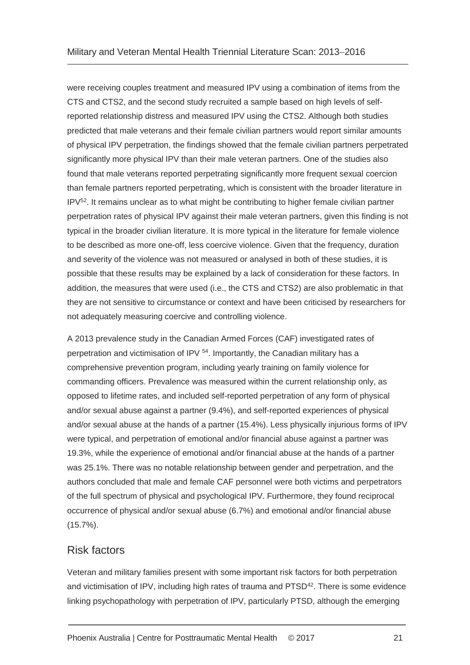were receiving couples treatment and measured IPV using a combination of items from the CTS and CTS2, and the second study recruited a sample based on high levels of selfreported relationship distress and measured IPV using the CTS2. Although both studies predicted that male veterans and their female civilian partners would report similar amounts of physical IPV perpetration, the findings showed that the female civilian partners perpetrated significantly more physical IPV than their male veteran partners. One of the studies also found that male veterans reported perpetrating significantly more frequent sexual coercion than female partners reported perpetrating, which is consistent with the broader literature in  $IPV<sup>52</sup>$  $IPV<sup>52</sup>$  $IPV<sup>52</sup>$ . It remains unclear as to what might be contributing to higher female civilian partner perpetration rates of physical IPV against their male veteran partners, given this finding is not typical in the broader civilian literature. It is more typical in the literature for female violence to be described as more one-off, less coercive violence. Given that the frequency, duration and severity of the violence was not measured or analysed in both of these studies, it is possible that these results may be explained by a lack of consideration for these factors. In addition, the measures that were used (i.e., the CTS and CTS2) are also problematic in that they are not sensitive to circumstance or context and have been criticised by researchers for not adequately measuring coercive and controlling violence.

A 2013 prevalence study in the Canadian Armed Forces (CAF) investigated rates of perpetration and victimisation of IPV <sup>[54](#page-53-14)</sup>. Importantly, the Canadian military has a comprehensive prevention program, including yearly training on family violence for commanding officers. Prevalence was measured within the current relationship only, as opposed to lifetime rates, and included self-reported perpetration of any form of physical and/or sexual abuse against a partner (9.4%), and self-reported experiences of physical and/or sexual abuse at the hands of a partner (15.4%). Less physically injurious forms of IPV were typical, and perpetration of emotional and/or financial abuse against a partner was 19.3%, while the experience of emotional and/or financial abuse at the hands of a partner was 25.1%. There was no notable relationship between gender and perpetration, and the authors concluded that male and female CAF personnel were both victims and perpetrators of the full spectrum of physical and psychological IPV. Furthermore, they found reciprocal occurrence of physical and/or sexual abuse (6.7%) and emotional and/or financial abuse (15.7%).

#### Risk factors

Veteran and military families present with some important risk factors for both perpetration and victimisation of IPV, including high rates of trauma and PTSD<sup>[42](#page-53-2)</sup>. There is some evidence linking psychopathology with perpetration of IPV, particularly PTSD, although the emerging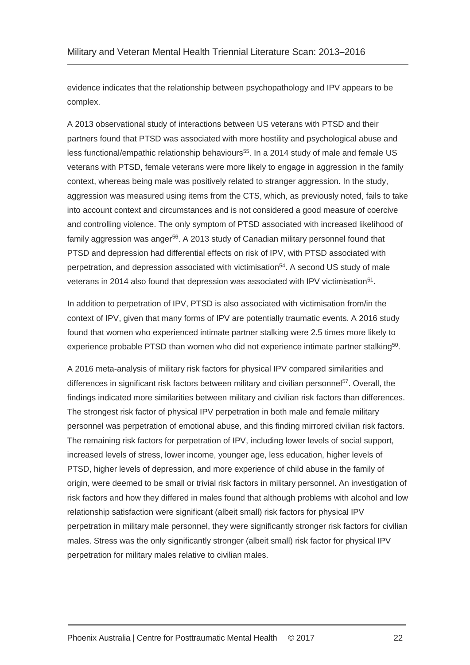evidence indicates that the relationship between psychopathology and IPV appears to be complex.

A 2013 observational study of interactions between US veterans with PTSD and their partners found that PTSD was associated with more hostility and psychological abuse and less functional/empathic relationship behaviours<sup>[55](#page-53-15)</sup>. In a 2014 study of male and female US veterans with PTSD, female veterans were more likely to engage in aggression in the family context, whereas being male was positively related to stranger aggression. In the study, aggression was measured using items from the CTS, which, as previously noted, fails to take into account context and circumstances and is not considered a good measure of coercive and controlling violence. The only symptom of PTSD associated with increased likelihood of family aggression was anger<sup>[56](#page-53-16)</sup>. A 2013 study of Canadian military personnel found that PTSD and depression had differential effects on risk of IPV, with PTSD associated with perpetration, and depression associated with victimisation<sup>[54](#page-53-14)</sup>. A second US study of male veterans in 2014 also found that depression was associated with IPV victimisation<sup>[51](#page-53-11)</sup>.

In addition to perpetration of IPV, PTSD is also associated with victimisation from/in the context of IPV, given that many forms of IPV are potentially traumatic events. A 2016 study found that women who experienced intimate partner stalking were 2.5 times more likely to experience probable PTSD than women who did not experience intimate partner stalking<sup>[50](#page-53-10)</sup>.

A 2016 meta-analysis of military risk factors for physical IPV compared similarities and differences in significant risk factors between military and civilian personnel<sup>[57](#page-53-17)</sup>. Overall, the findings indicated more similarities between military and civilian risk factors than differences. The strongest risk factor of physical IPV perpetration in both male and female military personnel was perpetration of emotional abuse, and this finding mirrored civilian risk factors. The remaining risk factors for perpetration of IPV, including lower levels of social support, increased levels of stress, lower income, younger age, less education, higher levels of PTSD, higher levels of depression, and more experience of child abuse in the family of origin, were deemed to be small or trivial risk factors in military personnel. An investigation of risk factors and how they differed in males found that although problems with alcohol and low relationship satisfaction were significant (albeit small) risk factors for physical IPV perpetration in military male personnel, they were significantly stronger risk factors for civilian males. Stress was the only significantly stronger (albeit small) risk factor for physical IPV perpetration for military males relative to civilian males.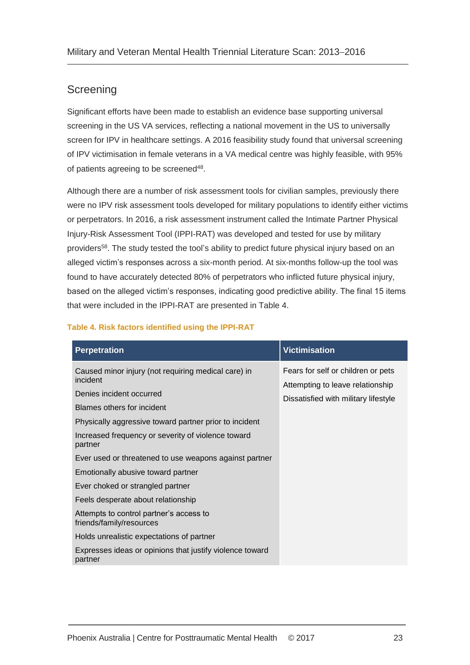## **Screening**

Significant efforts have been made to establish an evidence base supporting universal screening in the US VA services, reflecting a national movement in the US to universally screen for IPV in healthcare settings. A 2016 feasibility study found that universal screening of IPV victimisation in female veterans in a VA medical centre was highly feasible, with 95% of patients agreeing to be screened<sup>[48](#page-53-8)</sup>.

Although there are a number of risk assessment tools for civilian samples, previously there were no IPV risk assessment tools developed for military populations to identify either victims or perpetrators. In 2016, a risk assessment instrument called the Intimate Partner Physical Injury-Risk Assessment Tool (IPPI-RAT) was developed and tested for use by military providers<sup>[58](#page-53-18)</sup>. The study tested the tool's ability to predict future physical injury based on an alleged victim's responses across a six-month period. At six-months follow-up the tool was found to have accurately detected 80% of perpetrators who inflicted future physical injury, based on the alleged victim's responses, indicating good predictive ability. The final 15 items that were included in the IPPI-RAT are presented in Table 4.

| <b>Perpetration</b>                                                                                                                                                                                                                                                                                                                                                                      | <b>Victimisation</b>                                                                                           |
|------------------------------------------------------------------------------------------------------------------------------------------------------------------------------------------------------------------------------------------------------------------------------------------------------------------------------------------------------------------------------------------|----------------------------------------------------------------------------------------------------------------|
| Caused minor injury (not requiring medical care) in<br>incident<br>Denies incident occurred<br>Blames others for incident<br>Physically aggressive toward partner prior to incident<br>Increased frequency or severity of violence toward<br>partner<br>Ever used or threatened to use weapons against partner<br>Emotionally abusive toward partner<br>Ever choked or strangled partner | Fears for self or children or pets<br>Attempting to leave relationship<br>Dissatisfied with military lifestyle |
| Feels desperate about relationship<br>Attempts to control partner's access to<br>friends/family/resources                                                                                                                                                                                                                                                                                |                                                                                                                |
| Holds unrealistic expectations of partner<br>Expresses ideas or opinions that justify violence toward<br>partner                                                                                                                                                                                                                                                                         |                                                                                                                |

#### **Table 4. Risk factors identified using the IPPI-RAT**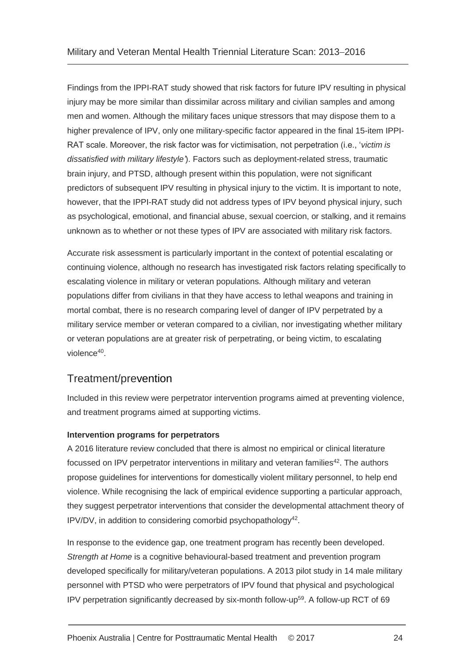Findings from the IPPI-RAT study showed that risk factors for future IPV resulting in physical injury may be more similar than dissimilar across military and civilian samples and among men and women. Although the military faces unique stressors that may dispose them to a higher prevalence of IPV, only one military-specific factor appeared in the final 15-item IPPI-RAT scale. Moreover, the risk factor was for victimisation, not perpetration (i.e., '*victim is dissatisfied with military lifestyle'*). Factors such as deployment-related stress, traumatic brain injury, and PTSD, although present within this population, were not significant predictors of subsequent IPV resulting in physical injury to the victim. It is important to note, however, that the IPPI-RAT study did not address types of IPV beyond physical injury, such as psychological, emotional, and financial abuse, sexual coercion, or stalking, and it remains unknown as to whether or not these types of IPV are associated with military risk factors.

Accurate risk assessment is particularly important in the context of potential escalating or continuing violence, although no research has investigated risk factors relating specifically to escalating violence in military or veteran populations. Although military and veteran populations differ from civilians in that they have access to lethal weapons and training in mortal combat, there is no research comparing level of danger of IPV perpetrated by a military service member or veteran compared to a civilian, nor investigating whether military or veteran populations are at greater risk of perpetrating, or being victim, to escalating violence<sup>[40](#page-53-0)</sup>.

## Treatment/prevention

Included in this review were perpetrator intervention programs aimed at preventing violence, and treatment programs aimed at supporting victims.

#### **Intervention programs for perpetrators**

A 2016 literature review concluded that there is almost no empirical or clinical literature focussed on IPV perpetrator interventions in military and veteran families<sup>[42](#page-53-2)</sup>. The authors propose guidelines for interventions for domestically violent military personnel, to help end violence. While recognising the lack of empirical evidence supporting a particular approach, they suggest perpetrator interventions that consider the developmental attachment theory of IPV/DV, in addition to considering comorbid psychopathology<sup>[42](#page-53-2)</sup>.

In response to the evidence gap, one treatment program has recently been developed. *Strength at Home* is a cognitive behavioural-based treatment and prevention program developed specifically for military/veteran populations. A 2013 pilot study in 14 male military personnel with PTSD who were perpetrators of IPV found that physical and psychological IPV perpetration significantly decreased by six-month follow-up<sup>[59](#page-53-19)</sup>. A follow-up RCT of 69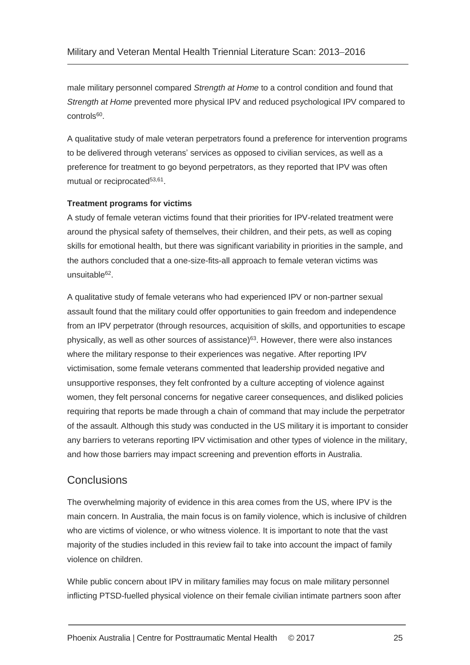male military personnel compared *Strength at Home* to a control condition and found that *Strength at Home* prevented more physical IPV and reduced psychological IPV compared to controls<sup>[60](#page-53-20)</sup>.

A qualitative study of male veteran perpetrators found a preference for intervention programs to be delivered through veterans' services as opposed to civilian services, as well as a preference for treatment to go beyond perpetrators, as they reported that IPV was often mutual or reciprocated<sup>[53,](#page-53-13)[61](#page-54-0)</sup>.

#### **Treatment programs for victims**

A study of female veteran victims found that their priorities for IPV-related treatment were around the physical safety of themselves, their children, and their pets, as well as coping skills for emotional health, but there was significant variability in priorities in the sample, and the authors concluded that a one-size-fits-all approach to female veteran victims was unsuitable<sup>[62](#page-54-1)</sup>.

A qualitative study of female veterans who had experienced IPV or non-partner sexual assault found that the military could offer opportunities to gain freedom and independence from an IPV perpetrator (through resources, acquisition of skills, and opportunities to escape physically, as well as other sources of assistance)<sup>[63](#page-54-2)</sup>. However, there were also instances where the military response to their experiences was negative. After reporting IPV victimisation, some female veterans commented that leadership provided negative and unsupportive responses, they felt confronted by a culture accepting of violence against women, they felt personal concerns for negative career consequences, and disliked policies requiring that reports be made through a chain of command that may include the perpetrator of the assault. Although this study was conducted in the US military it is important to consider any barriers to veterans reporting IPV victimisation and other types of violence in the military, and how those barriers may impact screening and prevention efforts in Australia.

### **Conclusions**

The overwhelming majority of evidence in this area comes from the US, where IPV is the main concern. In Australia, the main focus is on family violence, which is inclusive of children who are victims of violence, or who witness violence. It is important to note that the vast majority of the studies included in this review fail to take into account the impact of family violence on children.

While public concern about IPV in military families may focus on male military personnel inflicting PTSD-fuelled physical violence on their female civilian intimate partners soon after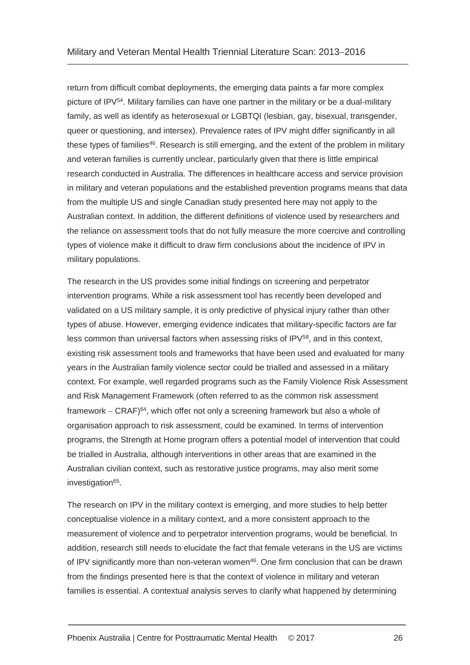return from difficult combat deployments, the emerging data paints a far more complex picture of IPV<sup>[54](#page-53-14)</sup>. Military families can have one partner in the military or be a dual-military family, as well as identify as heterosexual or LGBTQI (lesbian, gay, bisexual, transgender, queer or questioning, and intersex). Prevalence rates of IPV might differ significantly in all these types of families<sup>[46](#page-53-6)</sup>. Research is still emerging, and the extent of the problem in military and veteran families is currently unclear, particularly given that there is little empirical research conducted in Australia. The differences in healthcare access and service provision in military and veteran populations and the established prevention programs means that data from the multiple US and single Canadian study presented here may not apply to the Australian context. In addition, the different definitions of violence used by researchers and the reliance on assessment tools that do not fully measure the more coercive and controlling types of violence make it difficult to draw firm conclusions about the incidence of IPV in military populations.

The research in the US provides some initial findings on screening and perpetrator intervention programs. While a risk assessment tool has recently been developed and validated on a US military sample, it is only predictive of physical injury rather than other types of abuse. However, emerging evidence indicates that military-specific factors are far less common than universal factors when assessing risks of IPV $58$ , and in this context, existing risk assessment tools and frameworks that have been used and evaluated for many years in the Australian family violence sector could be trialled and assessed in a military context. For example, well regarded programs such as the Family Violence Risk Assessment and Risk Management Framework (often referred to as the common risk assessment framework  $-CRAF$ <sup>[64](#page-54-3)</sup>, which offer not only a screening framework but also a whole of organisation approach to risk assessment, could be examined. In terms of intervention programs, the Strength at Home program offers a potential model of intervention that could be trialled in Australia, although interventions in other areas that are examined in the Australian civilian context, such as restorative justice programs, may also merit some investigation<sup>[65](#page-54-4)</sup>.

The research on IPV in the military context is emerging, and more studies to help better conceptualise violence in a military context, and a more consistent approach to the measurement of violence and to perpetrator intervention programs, would be beneficial. In addition, research still needs to elucidate the fact that female veterans in the US are victims of IPV significantly more than non-veteran women<sup>[46](#page-53-6)</sup>. One firm conclusion that can be drawn from the findings presented here is that the context of violence in military and veteran families is essential. A contextual analysis serves to clarify what happened by determining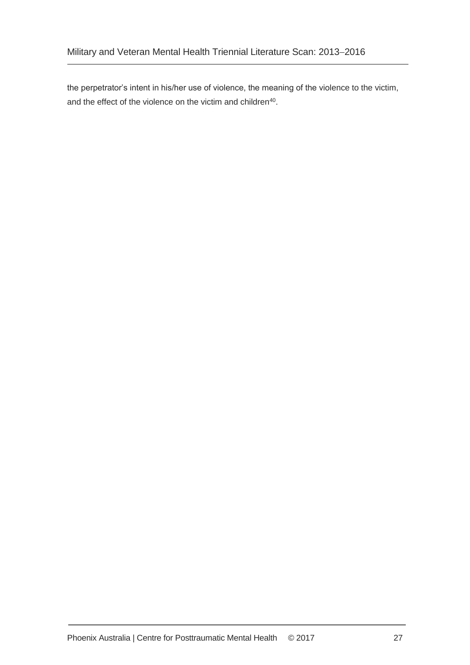<span id="page-32-0"></span>the perpetrator's intent in his/her use of violence, the meaning of the violence to the victim, and the effect of the violence on the victim and children<sup>[40](#page-53-0)</sup>.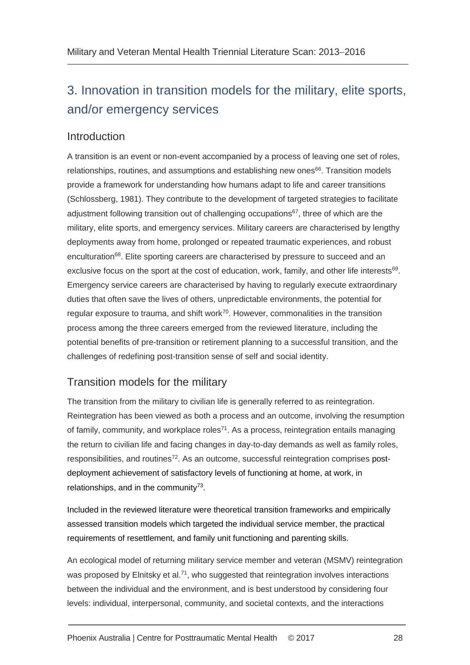## 3. Innovation in transition models for the military, elite sports, and/or emergency services

### Introduction

A transition is an event or non-event accompanied by a process of leaving one set of roles, relationships, routines, and assumptions and establishing new ones<sup>[66](#page-54-5)</sup>. Transition models provide a framework for understanding how humans adapt to life and career transitions (Schlossberg, 1981). They contribute to the development of targeted strategies to facilitate adjustment following transition out of challenging occupations<sup>[67](#page-54-6)</sup>, three of which are the military, elite sports, and emergency services. Military careers are characterised by lengthy deployments away from home, prolonged or repeated traumatic experiences, and robust enculturation<sup>[68](#page-54-7)</sup>. Elite sporting careers are characterised by pressure to succeed and an exclusive focus on the sport at the cost of education, work, family, and other life interests<sup>[69](#page-54-8)</sup>. Emergency service careers are characterised by having to regularly execute extraordinary duties that often save the lives of others, unpredictable environments, the potential for regular exposure to trauma, and shift work $70$ . However, commonalities in the transition process among the three careers emerged from the reviewed literature, including the potential benefits of pre-transition or retirement planning to a successful transition, and the challenges of redefining post-transition sense of self and social identity.

## Transition models for the military

The transition from the military to civilian life is generally referred to as reintegration. Reintegration has been viewed as both a process and an outcome, involving the resumption of family, community, and workplace roles<sup>[71](#page-54-10)</sup>. As a process, reintegration entails managing the return to civilian life and facing changes in day-to-day demands as well as family roles, responsibilities, and routines<sup>[72](#page-54-11)</sup>. As an outcome, successful reintegration comprises postdeployment achievement of satisfactory levels of functioning at home, at work, in relationships, and in the community $73$ .

Included in the reviewed literature were theoretical transition frameworks and empirically assessed transition models which targeted the individual service member, the practical requirements of resettlement, and family unit functioning and parenting skills.

An ecological model of returning military service member and veteran (MSMV) reintegration was proposed by Elnitsky et al.<sup>[71](#page-54-10)</sup>, who suggested that reintegration involves interactions between the individual and the environment, and is best understood by considering four levels: individual, interpersonal, community, and societal contexts, and the interactions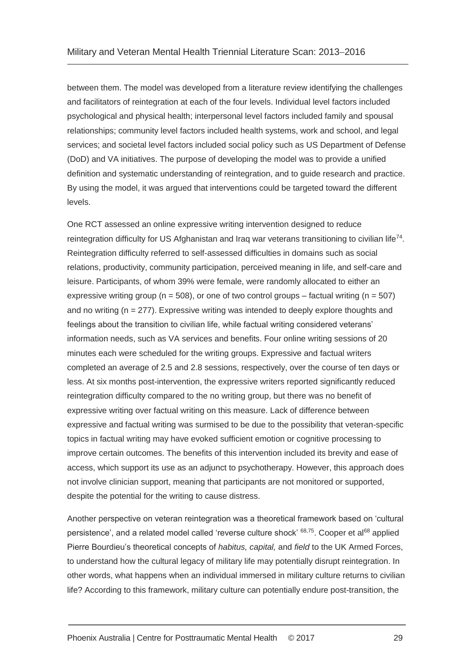between them. The model was developed from a literature review identifying the challenges and facilitators of reintegration at each of the four levels. Individual level factors included psychological and physical health; interpersonal level factors included family and spousal relationships; community level factors included health systems, work and school, and legal services; and societal level factors included social policy such as US Department of Defense (DoD) and VA initiatives. The purpose of developing the model was to provide a unified definition and systematic understanding of reintegration, and to guide research and practice. By using the model, it was argued that interventions could be targeted toward the different levels.

One RCT assessed an online expressive writing intervention designed to reduce reintegration difficulty for US Afghanistan and Iraq war veterans transitioning to civilian life<sup>[74](#page-54-13)</sup>. Reintegration difficulty referred to self-assessed difficulties in domains such as social relations, productivity, community participation, perceived meaning in life, and self-care and leisure. Participants, of whom 39% were female, were randomly allocated to either an expressive writing group ( $n = 508$ ), or one of two control groups – factual writing ( $n = 507$ ) and no writing  $(n = 277)$ . Expressive writing was intended to deeply explore thoughts and feelings about the transition to civilian life, while factual writing considered veterans' information needs, such as VA services and benefits. Four online writing sessions of 20 minutes each were scheduled for the writing groups. Expressive and factual writers completed an average of 2.5 and 2.8 sessions, respectively, over the course of ten days or less. At six months post-intervention, the expressive writers reported significantly reduced reintegration difficulty compared to the no writing group, but there was no benefit of expressive writing over factual writing on this measure. Lack of difference between expressive and factual writing was surmised to be due to the possibility that veteran-specific topics in factual writing may have evoked sufficient emotion or cognitive processing to improve certain outcomes. The benefits of this intervention included its brevity and ease of access, which support its use as an adjunct to psychotherapy. However, this approach does not involve clinician support, meaning that participants are not monitored or supported, despite the potential for the writing to cause distress.

Another perspective on veteran reintegration was a theoretical framework based on 'cultural persistence', and a related model called 'reverse culture shock' [68](#page-54-7)[,75](#page-54-14). Cooper et al<sup>68</sup> applied Pierre Bourdieu's theoretical concepts of *habitus, capital,* and *field* to the UK Armed Forces, to understand how the cultural legacy of military life may potentially disrupt reintegration. In other words, what happens when an individual immersed in military culture returns to civilian life? According to this framework, military culture can potentially endure post-transition, the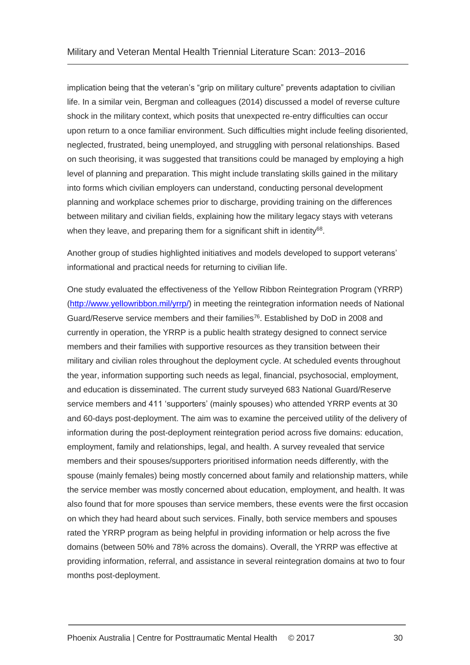implication being that the veteran's "grip on military culture" prevents adaptation to civilian life. In a similar vein, Bergman and colleagues (2014) discussed a model of reverse culture shock in the military context, which posits that unexpected re-entry difficulties can occur upon return to a once familiar environment. Such difficulties might include feeling disoriented, neglected, frustrated, being unemployed, and struggling with personal relationships. Based on such theorising, it was suggested that transitions could be managed by employing a high level of planning and preparation. This might include translating skills gained in the military into forms which civilian employers can understand, conducting personal development planning and workplace schemes prior to discharge, providing training on the differences between military and civilian fields, explaining how the military legacy stays with veterans when they leave, and preparing them for a significant shift in identity<sup>[68](#page-54-7)</sup>.

Another group of studies highlighted initiatives and models developed to support veterans' informational and practical needs for returning to civilian life.

One study evaluated the effectiveness of the Yellow Ribbon Reintegration Program (YRRP) [\(http://www.yellowribbon.mil/yrrp/\)](http://www.yellowribbon.mil/yrrp/) in meeting the reintegration information needs of National Guard/Reserve service members and their families<sup>[76](#page-54-15)</sup>. Established by DoD in 2008 and currently in operation, the YRRP is a public health strategy designed to connect service members and their families with supportive resources as they transition between their military and civilian roles throughout the deployment cycle. At scheduled events throughout the year, information supporting such needs as legal, financial, psychosocial, employment, and education is disseminated. The current study surveyed 683 National Guard/Reserve service members and 411 'supporters' (mainly spouses) who attended YRRP events at 30 and 60-days post-deployment. The aim was to examine the perceived utility of the delivery of information during the post-deployment reintegration period across five domains: education, employment, family and relationships, legal, and health. A survey revealed that service members and their spouses/supporters prioritised information needs differently, with the spouse (mainly females) being mostly concerned about family and relationship matters, while the service member was mostly concerned about education, employment, and health. It was also found that for more spouses than service members, these events were the first occasion on which they had heard about such services. Finally, both service members and spouses rated the YRRP program as being helpful in providing information or help across the five domains (between 50% and 78% across the domains). Overall, the YRRP was effective at providing information, referral, and assistance in several reintegration domains at two to four months post-deployment.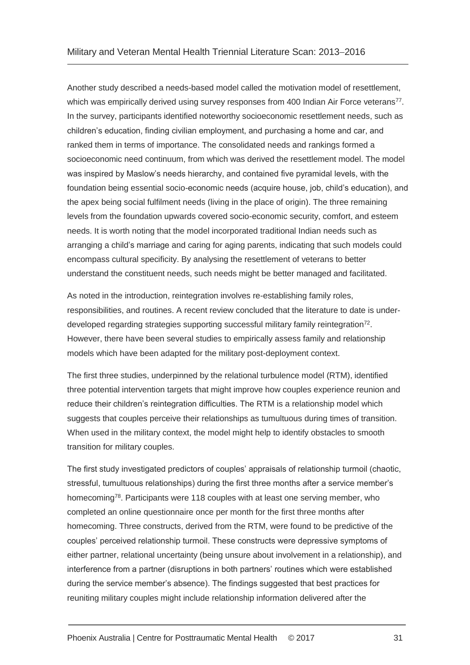Another study described a needs-based model called the motivation model of resettlement, which was empirically derived using survey responses from 400 Indian Air Force veterans<sup>[77](#page-54-16)</sup>. In the survey, participants identified noteworthy socioeconomic resettlement needs, such as children's education, finding civilian employment, and purchasing a home and car, and ranked them in terms of importance. The consolidated needs and rankings formed a socioeconomic need continuum, from which was derived the resettlement model. The model was inspired by Maslow's needs hierarchy, and contained five pyramidal levels, with the foundation being essential socio-economic needs (acquire house, job, child's education), and the apex being social fulfilment needs (living in the place of origin). The three remaining levels from the foundation upwards covered socio-economic security, comfort, and esteem needs. It is worth noting that the model incorporated traditional Indian needs such as arranging a child's marriage and caring for aging parents, indicating that such models could encompass cultural specificity. By analysing the resettlement of veterans to better understand the constituent needs, such needs might be better managed and facilitated.

As noted in the introduction, reintegration involves re-establishing family roles, responsibilities, and routines. A recent review concluded that the literature to date is under-developed regarding strategies supporting successful military family reintegration<sup>[72](#page-54-11)</sup>. However, there have been several studies to empirically assess family and relationship models which have been adapted for the military post-deployment context.

The first three studies, underpinned by the relational turbulence model (RTM), identified three potential intervention targets that might improve how couples experience reunion and reduce their children's reintegration difficulties. The RTM is a relationship model which suggests that couples perceive their relationships as tumultuous during times of transition. When used in the military context, the model might help to identify obstacles to smooth transition for military couples.

The first study investigated predictors of couples' appraisals of relationship turmoil (chaotic, stressful, tumultuous relationships) during the first three months after a service member's homecoming<sup>[78](#page-54-17)</sup>. Participants were 118 couples with at least one serving member, who completed an online questionnaire once per month for the first three months after homecoming. Three constructs, derived from the RTM, were found to be predictive of the couples' perceived relationship turmoil. These constructs were depressive symptoms of either partner, relational uncertainty (being unsure about involvement in a relationship), and interference from a partner (disruptions in both partners' routines which were established during the service member's absence). The findings suggested that best practices for reuniting military couples might include relationship information delivered after the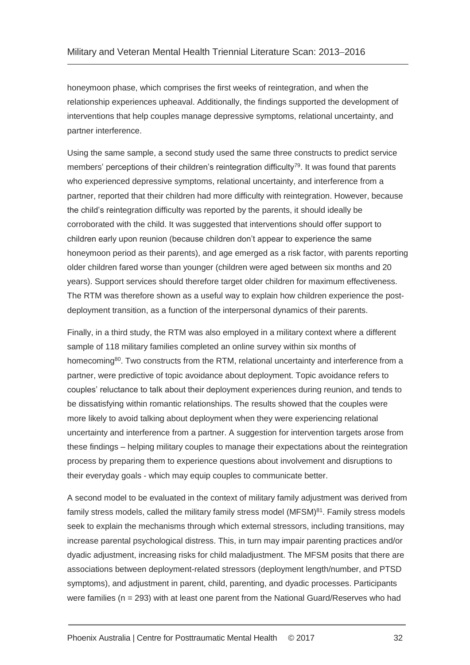honeymoon phase, which comprises the first weeks of reintegration, and when the relationship experiences upheaval. Additionally, the findings supported the development of interventions that help couples manage depressive symptoms, relational uncertainty, and partner interference.

Using the same sample, a second study used the same three constructs to predict service members' perceptions of their children's reintegration difficulty<sup>[79](#page-54-18)</sup>. It was found that parents who experienced depressive symptoms, relational uncertainty, and interference from a partner, reported that their children had more difficulty with reintegration. However, because the child's reintegration difficulty was reported by the parents, it should ideally be corroborated with the child. It was suggested that interventions should offer support to children early upon reunion (because children don't appear to experience the same honeymoon period as their parents), and age emerged as a risk factor, with parents reporting older children fared worse than younger (children were aged between six months and 20 years). Support services should therefore target older children for maximum effectiveness. The RTM was therefore shown as a useful way to explain how children experience the postdeployment transition, as a function of the interpersonal dynamics of their parents.

Finally, in a third study, the RTM was also employed in a military context where a different sample of 118 military families completed an online survey within six months of homecoming<sup>[80](#page-54-19)</sup>. Two constructs from the RTM, relational uncertainty and interference from a partner, were predictive of topic avoidance about deployment. Topic avoidance refers to couples' reluctance to talk about their deployment experiences during reunion, and tends to be dissatisfying within romantic relationships. The results showed that the couples were more likely to avoid talking about deployment when they were experiencing relational uncertainty and interference from a partner. A suggestion for intervention targets arose from these findings – helping military couples to manage their expectations about the reintegration process by preparing them to experience questions about involvement and disruptions to their everyday goals - which may equip couples to communicate better.

A second model to be evaluated in the context of military family adjustment was derived from family stress models, called the military family stress model  $(MFSM)^{81}$  $(MFSM)^{81}$  $(MFSM)^{81}$ . Family stress models seek to explain the mechanisms through which external stressors, including transitions, may increase parental psychological distress. This, in turn may impair parenting practices and/or dyadic adjustment, increasing risks for child maladjustment. The MFSM posits that there are associations between deployment-related stressors (deployment length/number, and PTSD symptoms), and adjustment in parent, child, parenting, and dyadic processes. Participants were families (n = 293) with at least one parent from the National Guard/Reserves who had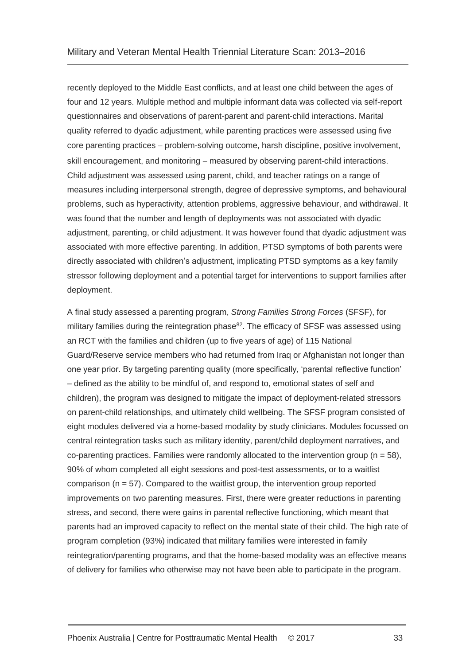recently deployed to the Middle East conflicts, and at least one child between the ages of four and 12 years. Multiple method and multiple informant data was collected via self-report questionnaires and observations of parent-parent and parent-child interactions. Marital quality referred to dyadic adjustment, while parenting practices were assessed using five core parenting practices problem-solving outcome, harsh discipline, positive involvement, skill encouragement, and monitoring – measured by observing parent-child interactions. Child adjustment was assessed using parent, child, and teacher ratings on a range of measures including interpersonal strength, degree of depressive symptoms, and behavioural problems, such as hyperactivity, attention problems, aggressive behaviour, and withdrawal. It was found that the number and length of deployments was not associated with dyadic adjustment, parenting, or child adjustment. It was however found that dyadic adjustment was associated with more effective parenting. In addition, PTSD symptoms of both parents were directly associated with children's adjustment, implicating PTSD symptoms as a key family stressor following deployment and a potential target for interventions to support families after deployment.

A final study assessed a parenting program, *Strong Families Strong Forces* (SFSF), for military families during the reintegration phase $^{82}$  $^{82}$  $^{82}$ . The efficacy of SFSF was assessed using an RCT with the families and children (up to five years of age) of 115 National Guard/Reserve service members who had returned from Iraq or Afghanistan not longer than one year prior. By targeting parenting quality (more specifically, 'parental reflective function' – defined as the ability to be mindful of, and respond to, emotional states of self and children), the program was designed to mitigate the impact of deployment-related stressors on parent-child relationships, and ultimately child wellbeing. The SFSF program consisted of eight modules delivered via a home-based modality by study clinicians. Modules focussed on central reintegration tasks such as military identity, parent/child deployment narratives, and co-parenting practices. Families were randomly allocated to the intervention group ( $n = 58$ ), 90% of whom completed all eight sessions and post-test assessments, or to a waitlist comparison  $(n = 57)$ . Compared to the waitlist group, the intervention group reported improvements on two parenting measures. First, there were greater reductions in parenting stress, and second, there were gains in parental reflective functioning, which meant that parents had an improved capacity to reflect on the mental state of their child. The high rate of program completion (93%) indicated that military families were interested in family reintegration/parenting programs, and that the home-based modality was an effective means of delivery for families who otherwise may not have been able to participate in the program.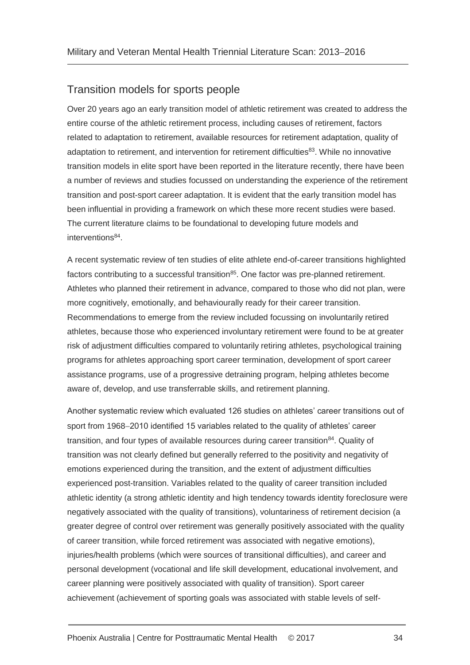### Transition models for sports people

Over 20 years ago an early transition model of athletic retirement was created to address the entire course of the athletic retirement process, including causes of retirement, factors related to adaptation to retirement, available resources for retirement adaptation, quality of adaptation to retirement, and intervention for retirement difficulties<sup>[83](#page-55-2)</sup>. While no innovative transition models in elite sport have been reported in the literature recently, there have been a number of reviews and studies focussed on understanding the experience of the retirement transition and post-sport career adaptation. It is evident that the early transition model has been influential in providing a framework on which these more recent studies were based. The current literature claims to be foundational to developing future models and interventions<sup>[84](#page-55-3)</sup>.

A recent systematic review of ten studies of elite athlete end-of-career transitions highlighted factors contributing to a successful transition<sup>[85](#page-55-4)</sup>. One factor was pre-planned retirement. Athletes who planned their retirement in advance, compared to those who did not plan, were more cognitively, emotionally, and behaviourally ready for their career transition. Recommendations to emerge from the review included focussing on involuntarily retired athletes, because those who experienced involuntary retirement were found to be at greater risk of adjustment difficulties compared to voluntarily retiring athletes, psychological training programs for athletes approaching sport career termination, development of sport career assistance programs, use of a progressive detraining program, helping athletes become aware of, develop, and use transferrable skills, and retirement planning.

Another systematic review which evaluated 126 studies on athletes' career transitions out of sport from 1968-2010 identified 15 variables related to the quality of athletes' career transition, and four types of available resources during career transition<sup>[84](#page-55-3)</sup>. Quality of transition was not clearly defined but generally referred to the positivity and negativity of emotions experienced during the transition, and the extent of adjustment difficulties experienced post-transition. Variables related to the quality of career transition included athletic identity (a strong athletic identity and high tendency towards identity foreclosure were negatively associated with the quality of transitions), voluntariness of retirement decision (a greater degree of control over retirement was generally positively associated with the quality of career transition, while forced retirement was associated with negative emotions), injuries/health problems (which were sources of transitional difficulties), and career and personal development (vocational and life skill development, educational involvement, and career planning were positively associated with quality of transition). Sport career achievement (achievement of sporting goals was associated with stable levels of self-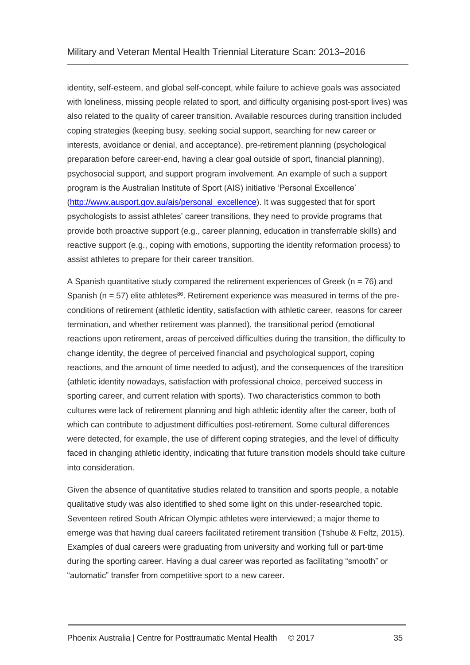identity, self-esteem, and global self-concept, while failure to achieve goals was associated with loneliness, missing people related to sport, and difficulty organising post-sport lives) was also related to the quality of career transition. Available resources during transition included coping strategies (keeping busy, seeking social support, searching for new career or interests, avoidance or denial, and acceptance), pre-retirement planning (psychological preparation before career-end, having a clear goal outside of sport, financial planning), psychosocial support, and support program involvement. An example of such a support program is the Australian Institute of Sport (AIS) initiative 'Personal Excellence' [\(http://www.ausport.gov.au/ais/personal\\_excellence\)](http://www.ausport.gov.au/ais/personal_excellence). It was suggested that for sport psychologists to assist athletes' career transitions, they need to provide programs that provide both proactive support (e.g., career planning, education in transferrable skills) and reactive support (e.g., coping with emotions, supporting the identity reformation process) to assist athletes to prepare for their career transition.

A Spanish quantitative study compared the retirement experiences of Greek ( $n = 76$ ) and Spanish ( $n = 57$ ) elite athletes<sup>[86](#page-55-5)</sup>. Retirement experience was measured in terms of the preconditions of retirement (athletic identity, satisfaction with athletic career, reasons for career termination, and whether retirement was planned), the transitional period (emotional reactions upon retirement, areas of perceived difficulties during the transition, the difficulty to change identity, the degree of perceived financial and psychological support, coping reactions, and the amount of time needed to adjust), and the consequences of the transition (athletic identity nowadays, satisfaction with professional choice, perceived success in sporting career, and current relation with sports). Two characteristics common to both cultures were lack of retirement planning and high athletic identity after the career, both of which can contribute to adjustment difficulties post-retirement. Some cultural differences were detected, for example, the use of different coping strategies, and the level of difficulty faced in changing athletic identity, indicating that future transition models should take culture into consideration.

Given the absence of quantitative studies related to transition and sports people, a notable qualitative study was also identified to shed some light on this under-researched topic. Seventeen retired South African Olympic athletes were interviewed; a major theme to emerge was that having dual careers facilitated retirement transition (Tshube & Feltz, 2015). Examples of dual careers were graduating from university and working full or part-time during the sporting career. Having a dual career was reported as facilitating "smooth" or "automatic" transfer from competitive sport to a new career.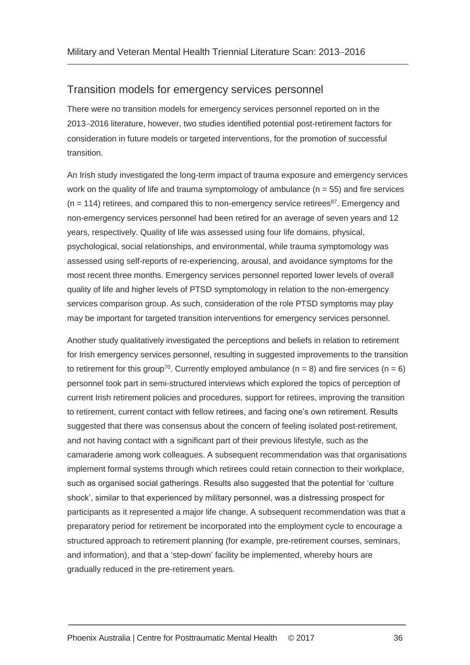#### Transition models for emergency services personnel

There were no transition models for emergency services personnel reported on in the 2013–2016 literature, however, two studies identified potential post-retirement factors for consideration in future models or targeted interventions, for the promotion of successful transition.

An Irish study investigated the long-term impact of trauma exposure and emergency services work on the quality of life and trauma symptomology of ambulance  $(n = 55)$  and fire services  $(n = 114)$  retirees, and compared this to non-emergency service retirees<sup>[87](#page-55-6)</sup>. Emergency and non-emergency services personnel had been retired for an average of seven years and 12 years, respectively. Quality of life was assessed using four life domains, physical, psychological, social relationships, and environmental, while trauma symptomology was assessed using self-reports of re-experiencing, arousal, and avoidance symptoms for the most recent three months. Emergency services personnel reported lower levels of overall quality of life and higher levels of PTSD symptomology in relation to the non-emergency services comparison group. As such, consideration of the role PTSD symptoms may play may be important for targeted transition interventions for emergency services personnel.

Another study qualitatively investigated the perceptions and beliefs in relation to retirement for Irish emergency services personnel, resulting in suggested improvements to the transition to retirement for this group<sup>[70](#page-54-9)</sup>. Currently employed ambulance ( $n = 8$ ) and fire services ( $n = 6$ ) personnel took part in semi-structured interviews which explored the topics of perception of current Irish retirement policies and procedures, support for retirees, improving the transition to retirement, current contact with fellow retirees, and facing one's own retirement. Results suggested that there was consensus about the concern of feeling isolated post-retirement, and not having contact with a significant part of their previous lifestyle, such as the camaraderie among work colleagues. A subsequent recommendation was that organisations implement formal systems through which retirees could retain connection to their workplace, such as organised social gatherings. Results also suggested that the potential for 'culture shock', similar to that experienced by military personnel, was a distressing prospect for participants as it represented a major life change. A subsequent recommendation was that a preparatory period for retirement be incorporated into the employment cycle to encourage a structured approach to retirement planning (for example, pre-retirement courses, seminars, and information), and that a 'step-down' facility be implemented, whereby hours are gradually reduced in the pre-retirement years.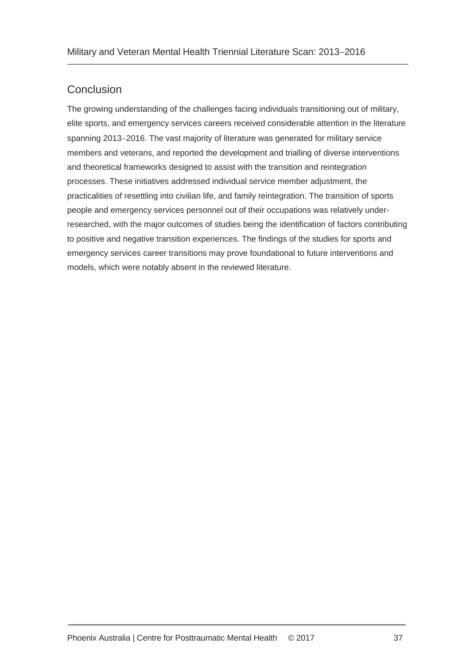## **Conclusion**

<span id="page-42-0"></span>The growing understanding of the challenges facing individuals transitioning out of military, elite sports, and emergency services careers received considerable attention in the literature spanning 2013-2016. The vast majority of literature was generated for military service members and veterans, and reported the development and trialling of diverse interventions and theoretical frameworks designed to assist with the transition and reintegration processes. These initiatives addressed individual service member adjustment, the practicalities of resettling into civilian life, and family reintegration. The transition of sports people and emergency services personnel out of their occupations was relatively underresearched, with the major outcomes of studies being the identification of factors contributing to positive and negative transition experiences. The findings of the studies for sports and emergency services career transitions may prove foundational to future interventions and models, which were notably absent in the reviewed literature.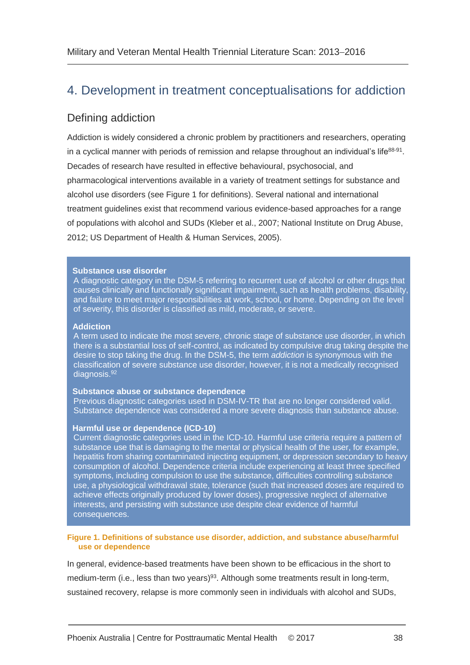## 4. Development in treatment conceptualisations for addiction

### Defining addiction

Addiction is widely considered a chronic problem by practitioners and researchers, operating in a cyclical manner with periods of remission and relapse throughout an individual's life<sup>[88-91](#page-55-7)</sup>. Decades of research have resulted in effective behavioural, psychosocial, and pharmacological interventions available in a variety of treatment settings for substance and alcohol use disorders (see Figure 1 for definitions). Several national and international treatment guidelines exist that recommend various evidence-based approaches for a range of populations with alcohol and SUDs (Kleber et al., 2007; National Institute on Drug Abuse, 2012; US Department of Health & Human Services, 2005).

#### **Substance use disorder**

A diagnostic category in the DSM-5 referring to recurrent use of alcohol or other drugs that causes clinically and functionally significant impairment, such as health problems, disability, and failure to meet major responsibilities at work, school, or home. Depending on the level of severity, this disorder is classified as mild, moderate, or severe.

#### **Addiction**

A term used to indicate the most severe, chronic stage of substance use disorder, in which there is a substantial loss of self-control, as indicated by compulsive drug taking despite the desire to stop taking the drug. In the DSM-5, the term *addiction* is synonymous with the classification of severe substance use disorder, however, it is not a medically recognised diagnosis.<sup>[92](#page-55-9)</sup>

#### **Substance abuse or substance dependence**

Previous diagnostic categories used in DSM-IV-TR that are no longer considered valid. Substance dependence was considered a more severe diagnosis than substance abuse.

#### **Harmful use or dependence (ICD-10)**

Current diagnostic categories used in the ICD-10. Harmful use criteria require a pattern of substance use that is damaging to the mental or physical health of the user, for example, hepatitis from sharing contaminated injecting equipment, or depression secondary to heavy consumption of alcohol. Dependence criteria include experiencing at least three specified symptoms, including compulsion to use the substance, difficulties controlling substance use, a physiological withdrawal state, tolerance (such that increased doses are required to achieve effects originally produced by lower doses), progressive neglect of alternative interests, and persisting with substance use despite clear evidence of harmful consequences.

#### **Figure 1. Definitions of substance use disorder, addiction, and substance abuse/harmful use or dependence**

In general, evidence-based treatments have been shown to be efficacious in the short to medium-term (i.e., less than two years)<sup>[93](#page-55-8)</sup>. Although some treatments result in long-term, sustained recovery, relapse is more commonly seen in individuals with alcohol and SUDs,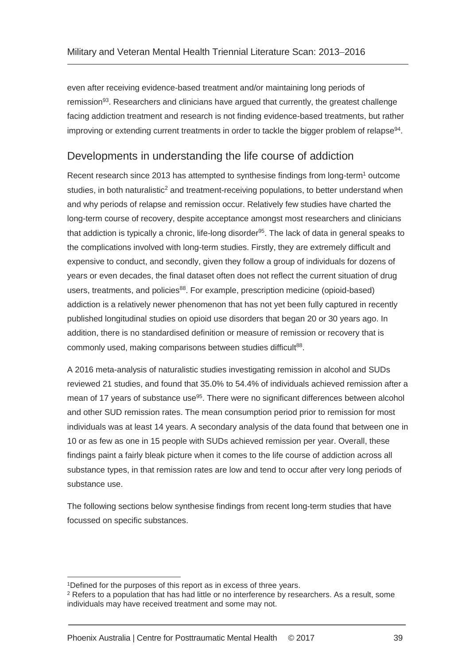even after receiving evidence-based treatment and/or maintaining long periods of remission<sup>[93](#page-55-8)</sup>. Researchers and clinicians have argued that currently, the greatest challenge facing addiction treatment and research is not finding evidence-based treatments, but rather improving or extending current treatments in order to tackle the bigger problem of relapse<sup>[94](#page-55-10)</sup>.

## Developments in understanding the life course of addiction

Recent research since 2013 has attempted to synthesise findings from long-term<sup>1</sup> outcome studies, in both naturalistic<sup>2</sup> and treatment-receiving populations, to better understand when and why periods of relapse and remission occur. Relatively few studies have charted the long-term course of recovery, despite acceptance amongst most researchers and clinicians that addiction is typically a chronic, life-long disorder<sup>[95](#page-55-11)</sup>. The lack of data in general speaks to the complications involved with long-term studies. Firstly, they are extremely difficult and expensive to conduct, and secondly, given they follow a group of individuals for dozens of years or even decades, the final dataset often does not reflect the current situation of drug users, treatments, and policies<sup>[88](#page-55-7)</sup>. For example, prescription medicine (opioid-based) addiction is a relatively newer phenomenon that has not yet been fully captured in recently published longitudinal studies on opioid use disorders that began 20 or 30 years ago. In addition, there is no standardised definition or measure of remission or recovery that is commonly used, making comparisons between studies difficult<sup>[88](#page-55-7)</sup>.

A 2016 meta-analysis of naturalistic studies investigating remission in alcohol and SUDs reviewed 21 studies, and found that 35.0% to 54.4% of individuals achieved remission after a mean of 17 years of substance use<sup>[95](#page-55-11)</sup>. There were no significant differences between alcohol and other SUD remission rates. The mean consumption period prior to remission for most individuals was at least 14 years. A secondary analysis of the data found that between one in 10 or as few as one in 15 people with SUDs achieved remission per year. Overall, these findings paint a fairly bleak picture when it comes to the life course of addiction across all substance types, in that remission rates are low and tend to occur after very long periods of substance use.

The following sections below synthesise findings from recent long-term studies that have focussed on specific substances.

-

<sup>&</sup>lt;sup>1</sup>Defined for the purposes of this report as in excess of three vears.

<sup>2</sup> Refers to a population that has had little or no interference by researchers. As a result, some individuals may have received treatment and some may not.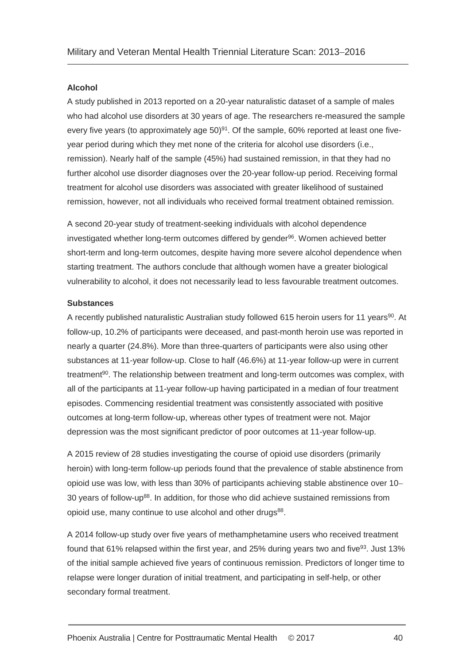#### **Alcohol**

A study published in 2013 reported on a 20-year naturalistic dataset of a sample of males who had alcohol use disorders at 30 years of age. The researchers re-measured the sample every five years (to approximately age  $50)^{91}$  $50)^{91}$  $50)^{91}$ . Of the sample, 60% reported at least one fiveyear period during which they met none of the criteria for alcohol use disorders (i.e., remission). Nearly half of the sample (45%) had sustained remission, in that they had no further alcohol use disorder diagnoses over the 20-year follow-up period. Receiving formal treatment for alcohol use disorders was associated with greater likelihood of sustained remission, however, not all individuals who received formal treatment obtained remission.

A second 20-year study of treatment-seeking individuals with alcohol dependence investigated whether long-term outcomes differed by gender<sup>[96](#page-55-13)</sup>. Women achieved better short-term and long-term outcomes, despite having more severe alcohol dependence when starting treatment. The authors conclude that although women have a greater biological vulnerability to alcohol, it does not necessarily lead to less favourable treatment outcomes.

#### **Substances**

A recently published naturalistic Australian study followed 615 heroin users for 11 years<sup>[90](#page-55-14)</sup>. At follow-up, 10.2% of participants were deceased, and past-month heroin use was reported in nearly a quarter (24.8%). More than three-quarters of participants were also using other substances at 11-year follow-up. Close to half (46.6%) at 11-year follow-up were in current treatment<sup>[90](#page-55-14)</sup>. The relationship between treatment and long-term outcomes was complex, with all of the participants at 11-year follow-up having participated in a median of four treatment episodes. Commencing residential treatment was consistently associated with positive outcomes at long-term follow-up, whereas other types of treatment were not. Major depression was the most significant predictor of poor outcomes at 11-year follow-up.

A 2015 review of 28 studies investigating the course of opioid use disorders (primarily heroin) with long-term follow-up periods found that the prevalence of stable abstinence from opioid use was low, with less than 30% of participants achieving stable abstinence over 10 30 years of follow-up<sup>[88](#page-55-7)</sup>. In addition, for those who did achieve sustained remissions from opioid use, many continue to use alcohol and other drugs<sup>[88](#page-55-7)</sup>.

A 2014 follow-up study over five years of methamphetamine users who received treatment found that 61% relapsed within the first year, and 25% during years two and five<sup>[93](#page-55-8)</sup>. Just 13% of the initial sample achieved five years of continuous remission. Predictors of longer time to relapse were longer duration of initial treatment, and participating in self-help, or other secondary formal treatment.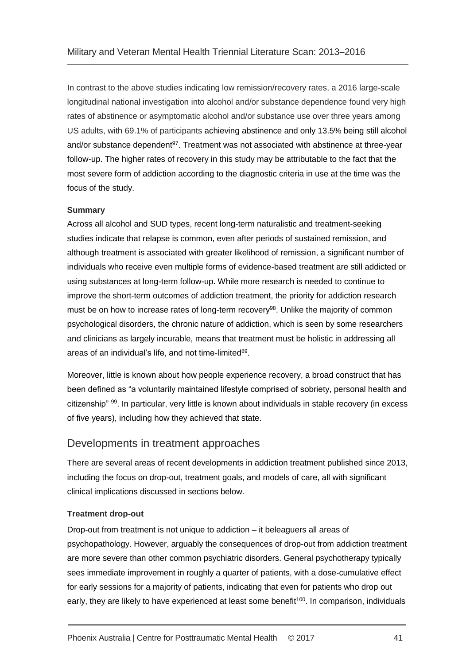In contrast to the above studies indicating low remission/recovery rates, a 2016 large-scale longitudinal national investigation into alcohol and/or substance dependence found very high rates of abstinence or asymptomatic alcohol and/or substance use over three years among US adults, with 69.1% of participants achieving abstinence and only 13.5% being still alcohol and/or substance dependent<sup>[97](#page-55-15)</sup>. Treatment was not associated with abstinence at three-year follow-up. The higher rates of recovery in this study may be attributable to the fact that the most severe form of addiction according to the diagnostic criteria in use at the time was the focus of the study.

#### **Summary**

Across all alcohol and SUD types, recent long-term naturalistic and treatment-seeking studies indicate that relapse is common, even after periods of sustained remission, and although treatment is associated with greater likelihood of remission, a significant number of individuals who receive even multiple forms of evidence-based treatment are still addicted or using substances at long-term follow-up. While more research is needed to continue to improve the short-term outcomes of addiction treatment, the priority for addiction research must be on how to increase rates of long-term recovery<sup>[98](#page-55-16)</sup>. Unlike the majority of common psychological disorders, the chronic nature of addiction, which is seen by some researchers and clinicians as largely incurable, means that treatment must be holistic in addressing all areas of an individual's life, and not time-limited<sup>[89](#page-55-17)</sup>.

Moreover, little is known about how people experience recovery, a broad construct that has been defined as "a voluntarily maintained lifestyle comprised of sobriety, personal health and citizenship" <sup>[99](#page-55-18)</sup>. In particular, very little is known about individuals in stable recovery (in excess of five years), including how they achieved that state.

#### Developments in treatment approaches

There are several areas of recent developments in addiction treatment published since 2013, including the focus on drop-out, treatment goals, and models of care, all with significant clinical implications discussed in sections below.

#### **Treatment drop-out**

Drop-out from treatment is not unique to addiction – it beleaguers all areas of psychopathology. However, arguably the consequences of drop-out from addiction treatment are more severe than other common psychiatric disorders. General psychotherapy typically sees immediate improvement in roughly a quarter of patients, with a dose-cumulative effect for early sessions for a majority of patients, indicating that even for patients who drop out early, they are likely to have experienced at least some benefit<sup>[100](#page-55-19)</sup>. In comparison, individuals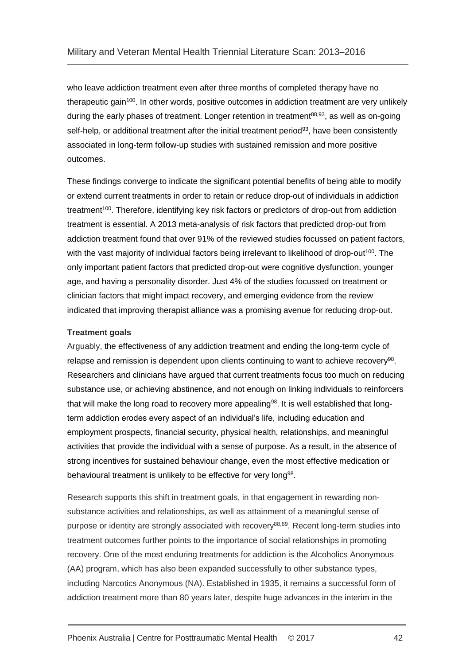who leave addiction treatment even after three months of completed therapy have no therapeutic gain<sup>[100](#page-55-19)</sup>. In other words, positive outcomes in addiction treatment are very unlikely during the early phases of treatment. Longer retention in treatment<sup>[88,](#page-55-7)[93](#page-55-8)</sup>, as well as on-going self-help, or additional treatment after the initial treatment period<sup>[93](#page-55-8)</sup>, have been consistently associated in long-term follow-up studies with sustained remission and more positive outcomes.

These findings converge to indicate the significant potential benefits of being able to modify or extend current treatments in order to retain or reduce drop-out of individuals in addiction treatment<sup>[100](#page-55-19)</sup>. Therefore, identifying key risk factors or predictors of drop-out from addiction treatment is essential. A 2013 meta-analysis of risk factors that predicted drop-out from addiction treatment found that over 91% of the reviewed studies focussed on patient factors, with the vast majority of individual factors being irrelevant to likelihood of drop-out<sup>[100](#page-55-19)</sup>. The only important patient factors that predicted drop-out were cognitive dysfunction, younger age, and having a personality disorder. Just 4% of the studies focussed on treatment or clinician factors that might impact recovery, and emerging evidence from the review indicated that improving therapist alliance was a promising avenue for reducing drop-out.

#### **Treatment goals**

Arguably, the effectiveness of any addiction treatment and ending the long-term cycle of relapse and remission is dependent upon clients continuing to want to achieve recovery<sup>[98](#page-55-16)</sup>. Researchers and clinicians have argued that current treatments focus too much on reducing substance use, or achieving abstinence, and not enough on linking individuals to reinforcers that will make the long road to recovery more appealing<sup>[98](#page-55-16)</sup>. It is well established that longterm addiction erodes every aspect of an individual's life, including education and employment prospects, financial security, physical health, relationships, and meaningful activities that provide the individual with a sense of purpose. As a result, in the absence of strong incentives for sustained behaviour change, even the most effective medication or behavioural treatment is unlikely to be effective for very long<sup>[98](#page-55-16)</sup>.

Research supports this shift in treatment goals, in that engagement in rewarding nonsubstance activities and relationships, as well as attainment of a meaningful sense of purpose or identity are strongly associated with recovery<sup>[88,](#page-55-7)[89](#page-55-17)</sup>. Recent long-term studies into treatment outcomes further points to the importance of social relationships in promoting recovery. One of the most enduring treatments for addiction is the Alcoholics Anonymous (AA) program, which has also been expanded successfully to other substance types, including Narcotics Anonymous (NA). Established in 1935, it remains a successful form of addiction treatment more than 80 years later, despite huge advances in the interim in the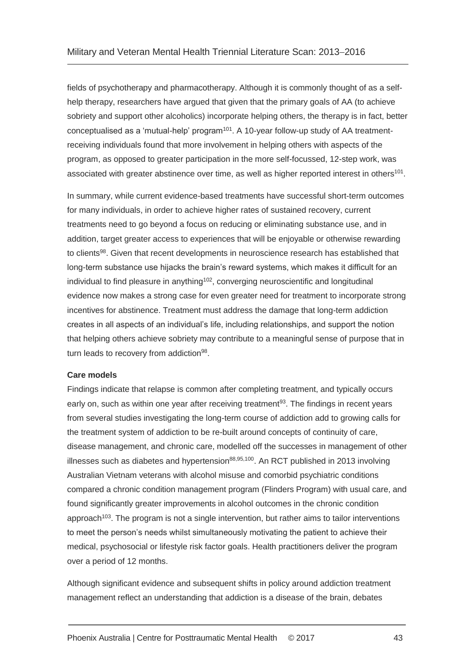fields of psychotherapy and pharmacotherapy. Although it is commonly thought of as a selfhelp therapy, researchers have argued that given that the primary goals of AA (to achieve sobriety and support other alcoholics) incorporate helping others, the therapy is in fact, better conceptualised as a 'mutual-help' program<sup>[101](#page-55-20)</sup>. A 10-year follow-up study of AA treatmentreceiving individuals found that more involvement in helping others with aspects of the program, as opposed to greater participation in the more self-focussed, 12-step work, was associated with greater abstinence over time, as well as higher reported interest in others<sup>[101](#page-55-20)</sup>.

In summary, while current evidence-based treatments have successful short-term outcomes for many individuals, in order to achieve higher rates of sustained recovery, current treatments need to go beyond a focus on reducing or eliminating substance use, and in addition, target greater access to experiences that will be enjoyable or otherwise rewarding to clients<sup>[98](#page-55-16)</sup>. Given that recent developments in neuroscience research has established that long-term substance use hijacks the brain's reward systems, which makes it difficult for an individual to find pleasure in anything<sup>[102](#page-56-0)</sup>, converging neuroscientific and longitudinal evidence now makes a strong case for even greater need for treatment to incorporate strong incentives for abstinence. Treatment must address the damage that long-term addiction creates in all aspects of an individual's life, including relationships, and support the notion that helping others achieve sobriety may contribute to a meaningful sense of purpose that in turn leads to recovery from addiction<sup>[98](#page-55-16)</sup>.

#### **Care models**

Findings indicate that relapse is common after completing treatment, and typically occurs early on, such as within one year after receiving treatment<sup>[93](#page-55-8)</sup>. The findings in recent years from several studies investigating the long-term course of addiction add to growing calls for the treatment system of addiction to be re-built around concepts of continuity of care, disease management, and chronic care, modelled off the successes in management of other illnesses such as diabetes and hypertension<sup>[88,](#page-55-7)[95](#page-55-11)[,100](#page-55-19)</sup>. An RCT published in 2013 involving Australian Vietnam veterans with alcohol misuse and comorbid psychiatric conditions compared a chronic condition management program (Flinders Program) with usual care, and found significantly greater improvements in alcohol outcomes in the chronic condition approach<sup>[103](#page-56-1)</sup>. The program is not a single intervention, but rather aims to tailor interventions to meet the person's needs whilst simultaneously motivating the patient to achieve their medical, psychosocial or lifestyle risk factor goals. Health practitioners deliver the program over a period of 12 months.

Although significant evidence and subsequent shifts in policy around addiction treatment management reflect an understanding that addiction is a disease of the brain, debates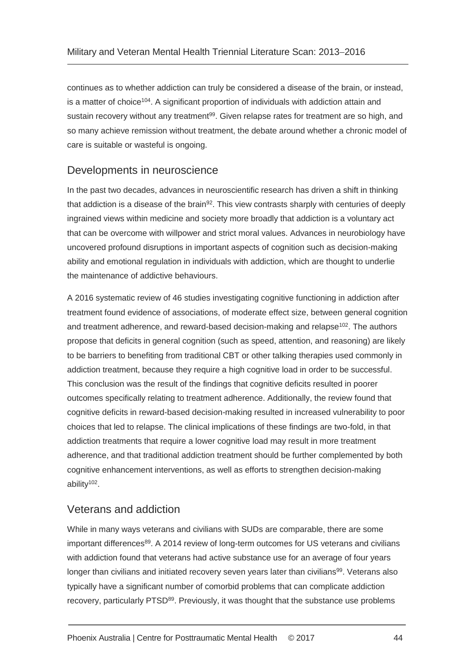continues as to whether addiction can truly be considered a disease of the brain, or instead, is a matter of choice<sup>[104](#page-56-2)</sup>. A significant proportion of individuals with addiction attain and sustain recovery without any treatment<sup>[99](#page-55-18)</sup>. Given relapse rates for treatment are so high, and so many achieve remission without treatment, the debate around whether a chronic model of care is suitable or wasteful is ongoing.

## Developments in neuroscience

In the past two decades, advances in neuroscientific research has driven a shift in thinking that addiction is a disease of the brain<sup>[92](#page-55-9)</sup>. This view contrasts sharply with centuries of deeply ingrained views within medicine and society more broadly that addiction is a voluntary act that can be overcome with willpower and strict moral values. Advances in neurobiology have uncovered profound disruptions in important aspects of cognition such as decision-making ability and emotional regulation in individuals with addiction, which are thought to underlie the maintenance of addictive behaviours.

A 2016 systematic review of 46 studies investigating cognitive functioning in addiction after treatment found evidence of associations, of moderate effect size, between general cognition and treatment adherence, and reward-based decision-making and relapse<sup>[102](#page-56-0)</sup>. The authors propose that deficits in general cognition (such as speed, attention, and reasoning) are likely to be barriers to benefiting from traditional CBT or other talking therapies used commonly in addiction treatment, because they require a high cognitive load in order to be successful. This conclusion was the result of the findings that cognitive deficits resulted in poorer outcomes specifically relating to treatment adherence. Additionally, the review found that cognitive deficits in reward-based decision-making resulted in increased vulnerability to poor choices that led to relapse. The clinical implications of these findings are two-fold, in that addiction treatments that require a lower cognitive load may result in more treatment adherence, and that traditional addiction treatment should be further complemented by both cognitive enhancement interventions, as well as efforts to strengthen decision-making ability<sup>[102](#page-56-0)</sup>.

## Veterans and addiction

While in many ways veterans and civilians with SUDs are comparable, there are some important differences<sup>[89](#page-55-17)</sup>. A 2014 review of long-term outcomes for US veterans and civilians with addiction found that veterans had active substance use for an average of four years longer than civilians and initiated recovery seven years later than civilians<sup>[99](#page-55-18)</sup>. Veterans also typically have a significant number of comorbid problems that can complicate addiction recovery, particularly PTSD<sup>[89](#page-55-17)</sup>. Previously, it was thought that the substance use problems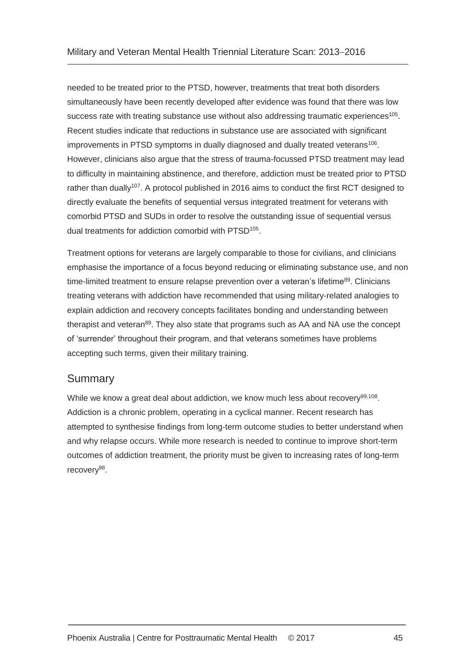needed to be treated prior to the PTSD, however, treatments that treat both disorders simultaneously have been recently developed after evidence was found that there was low success rate with treating substance use without also addressing traumatic experiences<sup>[105](#page-56-3)</sup>. Recent studies indicate that reductions in substance use are associated with significant improvements in PTSD symptoms in dually diagnosed and dually treated veterans<sup>[106](#page-56-4)</sup>. However, clinicians also argue that the stress of trauma-focussed PTSD treatment may lead to difficulty in maintaining abstinence, and therefore, addiction must be treated prior to PTSD rather than dually<sup>[107](#page-56-5)</sup>. A protocol published in 2016 aims to conduct the first RCT designed to directly evaluate the benefits of sequential versus integrated treatment for veterans with comorbid PTSD and SUDs in order to resolve the outstanding issue of sequential versus dual treatments for addiction comorbid with PTSD<sup>[105](#page-56-3)</sup>.

Treatment options for veterans are largely comparable to those for civilians, and clinicians emphasise the importance of a focus beyond reducing or eliminating substance use, and non time-limited treatment to ensure relapse prevention over a veteran's lifetime<sup>[89](#page-55-17)</sup>. Clinicians treating veterans with addiction have recommended that using military-related analogies to explain addiction and recovery concepts facilitates bonding and understanding between therapist and veteran<sup>[89](#page-55-17)</sup>. They also state that programs such as AA and NA use the concept of 'surrender' throughout their program, and that veterans sometimes have problems accepting such terms, given their military training.

## **Summary**

While we know a great deal about addiction, we know much less about recovery<sup>[99,](#page-55-18)[108](#page-56-6)</sup>. Addiction is a chronic problem, operating in a cyclical manner. Recent research has attempted to synthesise findings from long-term outcome studies to better understand when and why relapse occurs. While more research is needed to continue to improve short-term outcomes of addiction treatment, the priority must be given to increasing rates of long-term recovery<sup>[98](#page-55-16)</sup>.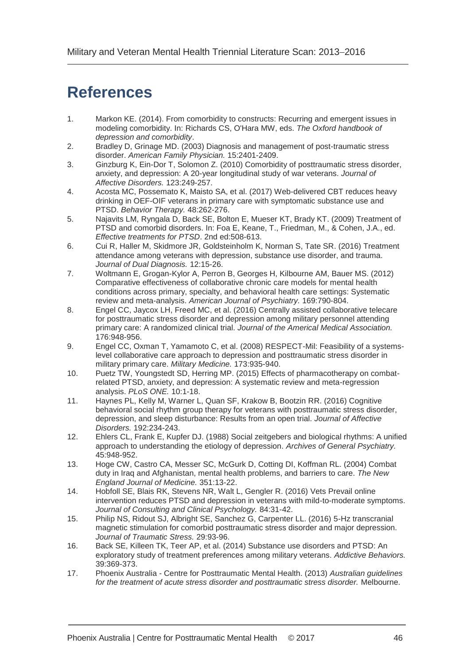## <span id="page-51-0"></span>**References**

- <span id="page-51-1"></span>1. Markon KE. (2014). From comorbidity to constructs: Recurring and emergent issues in modeling comorbidity. In: Richards CS, O'Hara MW, eds. *The Oxford handbook of depression and comorbidity*.
- <span id="page-51-2"></span>2. Bradley D, Grinage MD. (2003) Diagnosis and management of post-traumatic stress disorder. *American Family Physician.* 15:2401-2409.
- <span id="page-51-3"></span>3. Ginzburg K, Ein-Dor T, Solomon Z. (2010) Comorbidity of posttraumatic stress disorder, anxiety, and depression: A 20-year longitudinal study of war veterans. *Journal of Affective Disorders.* 123:249-257.
- <span id="page-51-4"></span>4. Acosta MC, Possemato K, Maisto SA, et al. (2017) Web-delivered CBT reduces heavy drinking in OEF-OIF veterans in primary care with symptomatic substance use and PTSD. *Behavior Therapy.* 48:262-276.
- <span id="page-51-5"></span>5. Najavits LM, Ryngala D, Back SE, Bolton E, Mueser KT, Brady KT. (2009) Treatment of PTSD and comorbid disorders. In: Foa E, Keane, T., Friedman, M., & Cohen, J.A., ed. *Effective treatments for PTSD*. 2nd ed:508-613.
- <span id="page-51-6"></span>6. Cui R, Haller M, Skidmore JR, Goldsteinholm K, Norman S, Tate SR. (2016) Treatment attendance among veterans with depression, substance use disorder, and trauma. *Journal of Dual Diagnosis.* 12:15-26.
- <span id="page-51-7"></span>7. Woltmann E, Grogan-Kylor A, Perron B, Georges H, Kilbourne AM, Bauer MS. (2012) Comparative effectiveness of collaborative chronic care models for mental health conditions across primary, specialty, and behavioral health care settings: Systematic review and meta-analysis. *American Journal of Psychiatry.* 169:790-804.
- <span id="page-51-8"></span>8. Engel CC, Jaycox LH, Freed MC, et al. (2016) Centrally assisted collaborative telecare for posttraumatic stress disorder and depression among military personnel attending primary care: A randomized clinical trial. *Journal of the Americal Medical Association.*  176:948-956.
- <span id="page-51-9"></span>9. Engel CC, Oxman T, Yamamoto C, et al. (2008) RESPECT-Mil: Feasibility of a systemslevel collaborative care approach to depression and posttraumatic stress disorder in military primary care. *Military Medicine.* 173:935-940.
- <span id="page-51-10"></span>10. Puetz TW, Youngstedt SD, Herring MP. (2015) Effects of pharmacotherapy on combatrelated PTSD, anxiety, and depression: A systematic review and meta-regression analysis. *PLoS ONE.* 10:1-18.
- <span id="page-51-11"></span>11. Haynes PL, Kelly M, Warner L, Quan SF, Krakow B, Bootzin RR. (2016) Cognitive behavioral social rhythm group therapy for veterans with posttraumatic stress disorder, depression, and sleep disturbance: Results from an open trial. *Journal of Affective Disorders.* 192:234-243.
- <span id="page-51-12"></span>12. Ehlers CL, Frank E, Kupfer DJ. (1988) Social zeitgebers and biological rhythms: A unified approach to understanding the etiology of depression. *Archives of General Psychiatry.*  45:948-952.
- <span id="page-51-13"></span>13. Hoge CW, Castro CA, Messer SC, McGurk D, Cotting DI, Koffman RL. (2004) Combat duty in Iraq and Afghanistan, mental health problems, and barriers to care. *The New England Journal of Medicine.* 351:13-22.
- <span id="page-51-14"></span>14. Hobfoll SE, Blais RK, Stevens NR, Walt L, Gengler R. (2016) Vets Prevail online intervention reduces PTSD and depression in veterans with mild-to-moderate symptoms. *Journal of Consulting and Clinical Psychology.* 84:31-42.
- <span id="page-51-15"></span>15. Philip NS, Ridout SJ, Albright SE, Sanchez G, Carpenter LL. (2016) 5-Hz transcranial magnetic stimulation for comorbid posttraumatic stress disorder and major depression. *Journal of Traumatic Stress.* 29:93-96.
- <span id="page-51-16"></span>16. Back SE, Killeen TK, Teer AP, et al. (2014) Substance use disorders and PTSD: An exploratory study of treatment preferences among military veterans. *Addictive Behaviors.*  39:369-373.
- <span id="page-51-17"></span>17. Phoenix Australia - Centre for Posttraumatic Mental Health. (2013) *Australian guidelines for the treatment of acute stress disorder and posttraumatic stress disorder.* Melbourne.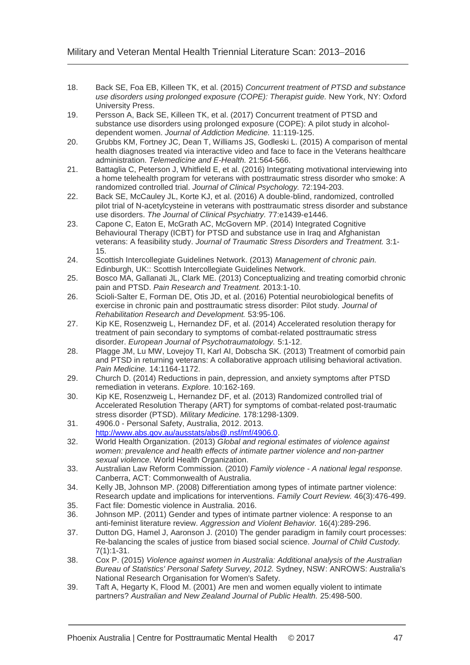- <span id="page-52-0"></span>18. Back SE, Foa EB, Killeen TK, et al. (2015) *Concurrent treatment of PTSD and substance use disorders using prolonged exposure (COPE): Therapist guide.* New York, NY: Oxford University Press.
- <span id="page-52-1"></span>19. Persson A, Back SE, Killeen TK, et al. (2017) Concurrent treatment of PTSD and substance use disorders using prolonged exposure (COPE): A pilot study in alcoholdependent women. *Journal of Addiction Medicine.* 11:119-125.
- <span id="page-52-2"></span>20. Grubbs KM, Fortney JC, Dean T, Williams JS, Godleski L. (2015) A comparison of mental health diagnoses treated via interactive video and face to face in the Veterans healthcare administration. *Telemedicine and E-Health.* 21:564-566.
- <span id="page-52-3"></span>21. Battaglia C, Peterson J, Whitfield E, et al. (2016) Integrating motivational interviewing into a home telehealth program for veterans with posttraumatic stress disorder who smoke: A randomized controlled trial. *Journal of Clinical Psychology.* 72:194-203.
- <span id="page-52-4"></span>22. Back SE, McCauley JL, Korte KJ, et al. (2016) A double-blind, randomized, controlled pilot trial of N-acetylcysteine in veterans with posttraumatic stress disorder and substance use disorders. *The Journal of Clinical Psychiatry.* 77:e1439-e1446.
- <span id="page-52-5"></span>23. Capone C, Eaton E, McGrath AC, McGovern MP. (2014) Integrated Cognitive Behavioural Therapy (ICBT) for PTSD and substance use in Iraq and Afghanistan veterans: A feasibility study. *Journal of Traumatic Stress Disorders and Treatment.* 3:1- 15.
- <span id="page-52-6"></span>24. Scottish Intercollegiate Guidelines Network. (2013) *Management of chronic pain.* Edinburgh, UK:: Scottish Intercollegiate Guidelines Network.
- <span id="page-52-7"></span>25. Bosco MA, Gallanati JL, Clark ME. (2013) Conceptualizing and treating comorbid chronic pain and PTSD. *Pain Research and Treatment.* 2013:1-10.
- <span id="page-52-8"></span>26. Scioli-Salter E, Forman DE, Otis JD, et al. (2016) Potential neurobiological benefits of exercise in chronic pain and posttraumatic stress disorder: Pilot study. *Journal of Rehabilitation Research and Development.* 53:95-106.
- <span id="page-52-9"></span>27. Kip KE, Rosenzweig L, Hernandez DF, et al. (2014) Accelerated resolution therapy for treatment of pain secondary to symptoms of combat-related posttraumatic stress disorder. *European Journal of Psychotraumatology.* 5:1-12.
- <span id="page-52-10"></span>28. Plagge JM, Lu MW, Lovejoy TI, Karl AI, Dobscha SK. (2013) Treatment of comorbid pain and PTSD in returning veterans: A collaborative approach utilising behavioral activation. *Pain Medicine.* 14:1164-1172.
- <span id="page-52-11"></span>29. Church D. (2014) Reductions in pain, depression, and anxiety symptoms after PTSD remediation in veterans. *Explore.* 10:162-169.
- <span id="page-52-12"></span>30. Kip KE, Rosenzweig L, Hernandez DF, et al. (2013) Randomized controlled trial of Accelerated Resolution Therapy (ART) for symptoms of combat-related post-traumatic stress disorder (PTSD). *Military Medicine.* 178:1298-1309.
- <span id="page-52-13"></span>31. 4906.0 - Personal Safety, Australia, 2012. 2013. [http://www.abs.gov.au/ausstats/abs@.nsf/mf/4906.0.](http://www.abs.gov.au/ausstats/abs@.nsf/mf/4906.0)
- <span id="page-52-14"></span>32. World Health Organization. (2013) *Global and regional estimates of violence against women: prevalence and health effects of intimate partner violence and non-partner sexual violence.* World Health Organization.
- <span id="page-52-15"></span>33. Australian Law Reform Commission. (2010) *Family violence - A national legal response.*  Canberra, ACT: Commonwealth of Australia.
- <span id="page-52-16"></span>34. Kelly JB, Johnson MP. (2008) Differentiation among types of intimate partner violence: Research update and implications for interventions. *Family Court Review.* 46(3):476-499.
- <span id="page-52-17"></span>35. Fact file: Domestic violence in Australia. 2016.
- 36. Johnson MP. (2011) Gender and types of intimate partner violence: A response to an anti-feminist literature review. *Aggression and Violent Behavior.* 16(4):289-296.
- 37. Dutton DG, Hamel J, Aaronson J. (2010) The gender paradigm in family court processes: Re-balancing the scales of justice from biased social science. *Journal of Child Custody.*  7(1):1-31.
- <span id="page-52-18"></span>38. Cox P. (2015) *Violence against women in Australia: Additional analysis of the Australian Bureau of Statistics' Personal Safety Survey, 2012.* Sydney, NSW: ANROWS: Australia's National Research Organisation for Women's Safety.
- <span id="page-52-19"></span>39. Taft A, Hegarty K, Flood M. (2001) Are men and women equally violent to intimate partners? *Australian and New Zealand Journal of Public Health.* 25:498-500.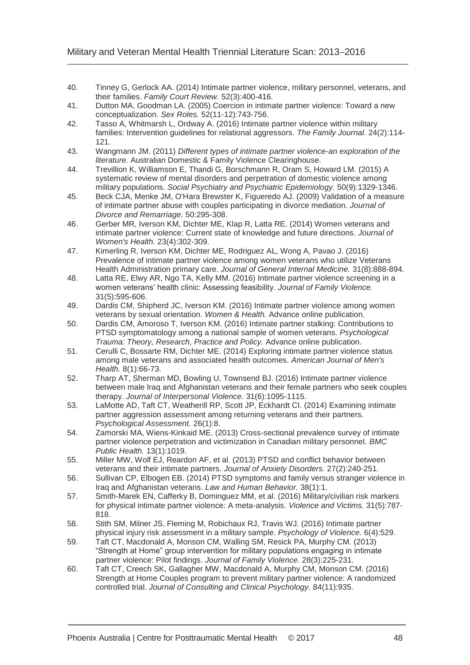- <span id="page-53-0"></span>40. Tinney G, Gerlock AA. (2014) Intimate partner violence, military personnel, veterans, and their families. *Family Court Review.* 52(3):400-416.
- <span id="page-53-1"></span>41. Dutton MA, Goodman LA. (2005) Coercion in intimate partner violence: Toward a new conceptualization. *Sex Roles.* 52(11-12):743-756.
- <span id="page-53-2"></span>42. Tasso A, Whitmarsh L, Ordway A. (2016) Intimate partner violence within military families: Intervention guidelines for relational aggressors. *The Family Journal.* 24(2):114- 121.
- <span id="page-53-3"></span>43. Wangmann JM. (2011) *Different types of intimate partner violence-an exploration of the literature.* Australian Domestic & Family Violence Clearinghouse.
- <span id="page-53-4"></span>44. Trevillion K, Williamson E, Thandi G, Borschmann R, Oram S, Howard LM. (2015) A systematic review of mental disorders and perpetration of domestic violence among military populations. *Social Psychiatry and Psychiatric Epidemiology.* 50(9):1329-1346.
- <span id="page-53-5"></span>45. Beck CJA, Menke JM, O'Hara Brewster K, Figueredo AJ. (2009) Validation of a measure of intimate partner abuse with couples participating in divorce mediation. *Journal of Divorce and Remarriage.* 50:295-308.
- <span id="page-53-6"></span>46. Gerber MR, Iverson KM, Dichter ME, Klap R, Latta RE. (2014) Women veterans and intimate partner violence: Current state of knowledge and future directions. *Journal of Women's Health.* 23(4):302-309.
- <span id="page-53-7"></span>47. Kimerling R, Iverson KM, Dichter ME, Rodriguez AL, Wong A, Pavao J. (2016) Prevalence of intimate partner violence among women veterans who utilize Veterans Health Administration primary care. *Journal of General Internal Medicine.* 31(8):888-894.
- <span id="page-53-8"></span>48. Latta RE, Elwy AR, Ngo TA, Kelly MM. (2016) Intimate partner violence screening in a women veterans' health clinic: Assessing feasibility. *Journal of Family Violence.*  31(5):595-606.
- <span id="page-53-9"></span>49. Dardis CM, Shipherd JC, Iverson KM. (2016) Intimate partner violence among women veterans by sexual orientation. *Women & Health.* Advance online publication.
- <span id="page-53-10"></span>50. Dardis CM, Amoroso T, Iverson KM. (2016) Intimate partner stalking: Contributions to PTSD symptomatology among a national sample of women veterans. *Psychological Trauma: Theory, Research, Practice and Policy.* Advance online publication.
- <span id="page-53-11"></span>51. Cerulli C, Bossarte RM, Dichter ME. (2014) Exploring intimate partner violence status among male veterans and associated health outcomes. *American Journal of Men's Health.* 8(1):66-73.
- <span id="page-53-12"></span>52. Tharp AT, Sherman MD, Bowling U, Townsend BJ. (2016) Intimate partner violence between male Iraq and Afghanistan veterans and their female partners who seek couples therapy. *Journal of Interpersonal Violence.* 31(6):1095-1115.
- <span id="page-53-13"></span>53. LaMotte AD, Taft CT, Weatherill RP, Scott JP, Eckhardt CI. (2014) Examining intimate partner aggression assessment among returning veterans and their partners. *Psychological Assessment.* 26(1):8.
- <span id="page-53-14"></span>54. Zamorski MA, Wiens-Kinkaid ME. (2013) Cross-sectional prevalence survey of intimate partner violence perpetration and victimization in Canadian military personnel. *BMC Public Health.* 13(1):1019.
- <span id="page-53-15"></span>55. Miller MW, Wolf EJ, Reardon AF, et al. (2013) PTSD and conflict behavior between veterans and their intimate partners. *Journal of Anxiety Disorders.* 27(2):240-251.
- <span id="page-53-16"></span>56. Sullivan CP, Elbogen EB. (2014) PTSD symptoms and family versus stranger violence in Iraq and Afghanistan veterans. *Law and Human Behavior.* 38(1):1.
- <span id="page-53-17"></span>57. Smith-Marek EN, Cafferky B, Dominguez MM, et al. (2016) Military/civilian risk markers for physical intimate partner violence: A meta-analysis. *Violence and Victims.* 31(5):787- 818.
- <span id="page-53-18"></span>58. Stith SM, Milner JS, Fleming M, Robichaux RJ, Travis WJ. (2016) Intimate partner physical injury risk assessment in a military sample. *Psychology of Violence.* 6(4):529.
- <span id="page-53-19"></span>59. Taft CT, Macdonald A, Monson CM, Walling SM, Resick PA, Murphy CM. (2013) "Strength at Home" group intervention for military populations engaging in intimate partner violence: Pilot findings. *Journal of Family Violence.* 28(3):225-231.
- <span id="page-53-20"></span>60. Taft CT, Creech SK, Gallagher MW, Macdonald A, Murphy CM, Monson CM. (2016) Strength at Home Couples program to prevent military partner violence: A randomized controlled trial. *Journal of Consulting and Clinical Psychology.* 84(11):935.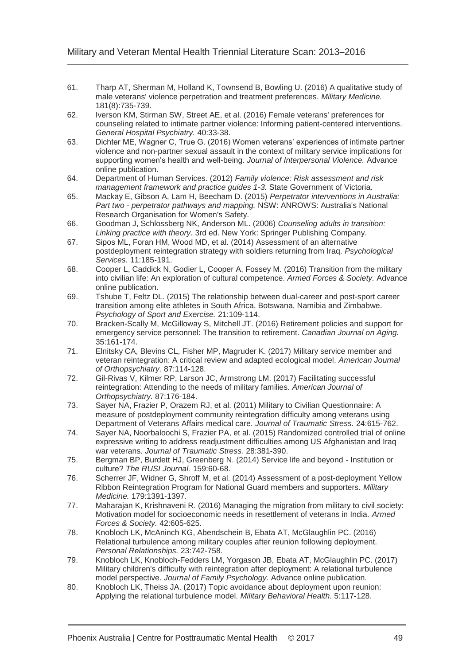- <span id="page-54-0"></span>61. Tharp AT, Sherman M, Holland K, Townsend B, Bowling U. (2016) A qualitative study of male veterans' violence perpetration and treatment preferences. *Military Medicine.*  181(8):735-739.
- <span id="page-54-1"></span>62. Iverson KM, Stirman SW, Street AE, et al. (2016) Female veterans' preferences for counseling related to intimate partner violence: Informing patient-centered interventions. *General Hospital Psychiatry.* 40:33-38.
- <span id="page-54-2"></span>63. Dichter ME, Wagner C, True G. (2016) Women veterans' experiences of intimate partner violence and non-partner sexual assault in the context of military service implications for supporting women's health and well-being. *Journal of Interpersonal Violence.* Advance online publication.
- <span id="page-54-3"></span>64. Department of Human Services. (2012) *Family violence: Risk assessment and risk management framework and practice guides 1-3.* State Government of Victoria.
- <span id="page-54-4"></span>65. Mackay E, Gibson A, Lam H, Beecham D. (2015) *Perpetrator interventions in Australia: Part two - perpetrator pathways and mapping.* NSW: ANROWS: Australia's National Research Organisation for Women's Safety.
- <span id="page-54-5"></span>66. Goodman J, Schlossberg NK, Anderson ML. (2006) *Counseling adults in transition: Linking practice with theory.* 3rd ed. New York: Springer Publishing Company.
- <span id="page-54-6"></span>67. Sipos ML, Foran HM, Wood MD, et al. (2014) Assessment of an alternative postdeployment reintegration strategy with soldiers returning from Iraq. *Psychological Services.* 11:185-191.
- <span id="page-54-7"></span>68. Cooper L, Caddick N, Godier L, Cooper A, Fossey M. (2016) Transition from the military into civilian life: An exploration of cultural competence. *Armed Forces & Society.* Advance online publication.
- <span id="page-54-8"></span>69. Tshube T, Feltz DL. (2015) The relationship between dual-career and post-sport career transition among elite athletes in South Africa, Botswana, Namibia and Zimbabwe. *Psychology of Sport and Exercise.* 21:109-114.
- <span id="page-54-9"></span>70. Bracken-Scally M, McGilloway S, Mitchell JT. (2016) Retirement policies and support for emergency service personnel: The transition to retirement. *Canadian Journal on Aging.*  35:161-174.
- <span id="page-54-10"></span>71. Elnitsky CA, Blevins CL, Fisher MP, Magruder K. (2017) Military service member and veteran reintegration: A critical review and adapted ecological model. *American Journal of Orthopsychiatry.* 87:114-128.
- <span id="page-54-11"></span>72. Gil-Rivas V, Kilmer RP, Larson JC, Armstrong LM. (2017) Facilitating successful reintegration: Attending to the needs of military families. *American Journal of Orthopsychiatry.* 87:176-184.
- <span id="page-54-12"></span>73. Sayer NA, Frazier P, Orazem RJ, et al. (2011) Military to Civilian Questionnaire: A measure of postdeployment community reintegration difficulty among veterans using Department of Veterans Affairs medical care. *Journal of Traumatic Stress.* 24:615-762.
- <span id="page-54-13"></span>74. Sayer NA, Noorbaloochi S, Frazier PA, et al. (2015) Randomized controlled trial of online expressive writing to address readjustment difficulties among US Afghanistan and Iraq war veterans. *Journal of Traumatic Stress.* 28:381-390.
- <span id="page-54-14"></span>75. Bergman BP, Burdett HJ, Greenberg N. (2014) Service life and beyond - Institution or culture? *The RUSI Journal.* 159:60-68.
- <span id="page-54-15"></span>76. Scherrer JF, Widner G, Shroff M, et al. (2014) Assessment of a post-deployment Yellow Ribbon Reintegration Program for National Guard members and supporters. *Military Medicine.* 179:1391-1397.
- <span id="page-54-16"></span>77. Maharajan K, Krishnaveni R. (2016) Managing the migration from military to civil society: Motivation model for socioeconomic needs in resettlement of veterans in India. *Armed Forces & Society.* 42:605-625.
- <span id="page-54-17"></span>78. Knobloch LK, McAninch KG, Abendschein B, Ebata AT, McGlaughlin PC. (2016) Relational turbulence among military couples after reunion following deployment. *Personal Relationships.* 23:742-758.
- <span id="page-54-18"></span>79. Knobloch LK, Knobloch-Fedders LM, Yorgason JB, Ebata AT, McGlaughlin PC. (2017) Military children's difficulty with reintegration after deployment: A relational turbulence model perspective. *Journal of Family Psychology.* Advance online publication.
- <span id="page-54-19"></span>80. Knobloch LK, Theiss JA. (2017) Topic avoidance about deployment upon reunion: Applying the relational turbulence model. *Military Behavioral Health.* 5:117-128.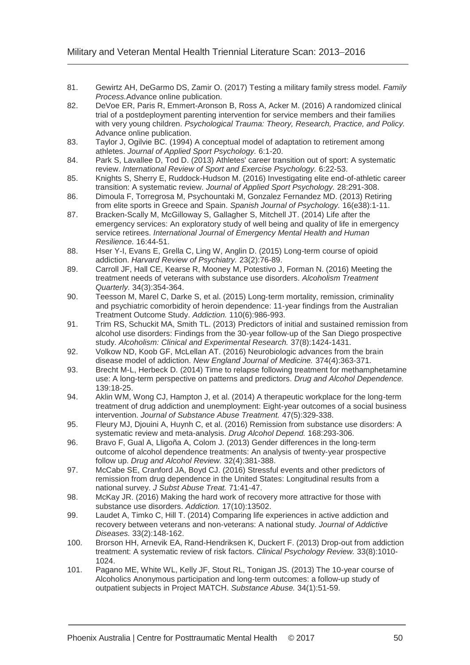- <span id="page-55-0"></span>81. Gewirtz AH, DeGarmo DS, Zamir O. (2017) Testing a military family stress model. *Family Process.*Advance online publication.
- <span id="page-55-1"></span>82. DeVoe ER, Paris R, Emmert-Aronson B, Ross A, Acker M. (2016) A randomized clinical trial of a postdeployment parenting intervention for service members and their families with very young children. *Psychological Trauma: Theory, Research, Practice, and Policy.*  Advance online publication.
- <span id="page-55-2"></span>83. Taylor J, Ogilvie BC. (1994) A conceptual model of adaptation to retirement among athletes. *Journal of Applied Sport Psychology.* 6:1-20.
- <span id="page-55-3"></span>84. Park S, Lavallee D, Tod D. (2013) Athletes' career transition out of sport: A systematic review. *International Review of Sport and Exercise Psychology.* 6:22-53.
- <span id="page-55-4"></span>85. Knights S, Sherry E, Ruddock-Hudson M. (2016) Investigating elite end-of-athletic career transition: A systematic review. *Journal of Applied Sport Psychology.* 28:291-308.
- <span id="page-55-5"></span>86. Dimoula F, Torregrosa M, Psychountaki M, Gonzalez Fernandez MD. (2013) Retiring from elite sports in Greece and Spain. *Spanish Journal of Psychology.* 16(e38):1-11.
- <span id="page-55-6"></span>87. Bracken-Scally M, McGilloway S, Gallagher S, Mitchell JT. (2014) Life after the emergency services: An exploratory study of well being and quality of life in emergency service retirees. *International Journal of Emergency Mental Health and Human Resilience.* 16:44-51.
- <span id="page-55-7"></span>88. Hser Y-I, Evans E, Grella C, Ling W, Anglin D. (2015) Long-term course of opioid addiction. *Harvard Review of Psychiatry.* 23(2):76-89.
- <span id="page-55-17"></span>89. Carroll JF, Hall CE, Kearse R, Mooney M, Potestivo J, Forman N. (2016) Meeting the treatment needs of veterans with substance use disorders. *Alcoholism Treatment Quarterly.* 34(3):354-364.
- <span id="page-55-14"></span>90. Teesson M, Marel C, Darke S, et al. (2015) Long-term mortality, remission, criminality and psychiatric comorbidity of heroin dependence: 11‐year findings from the Australian Treatment Outcome Study. *Addiction.* 110(6):986-993.
- <span id="page-55-12"></span>91. Trim RS, Schuckit MA, Smith TL. (2013) Predictors of initial and sustained remission from alcohol use disorders: Findings from the 30‐year follow‐up of the San Diego prospective study. *Alcoholism: Clinical and Experimental Research.* 37(8):1424-1431.
- <span id="page-55-9"></span>92. Volkow ND, Koob GF, McLellan AT. (2016) Neurobiologic advances from the brain disease model of addiction. *New England Journal of Medicine.* 374(4):363-371.
- <span id="page-55-8"></span>93. Brecht M-L, Herbeck D. (2014) Time to relapse following treatment for methamphetamine use: A long-term perspective on patterns and predictors. *Drug and Alcohol Dependence.*  139:18-25.
- <span id="page-55-10"></span>94. Aklin WM, Wong CJ, Hampton J, et al. (2014) A therapeutic workplace for the long-term treatment of drug addiction and unemployment: Eight-year outcomes of a social business intervention. *Journal of Substance Abuse Treatment.* 47(5):329-338.
- <span id="page-55-11"></span>95. Fleury MJ, Djouini A, Huynh C, et al. (2016) Remission from substance use disorders: A systematic review and meta-analysis. *Drug Alcohol Depend.* 168:293-306.
- <span id="page-55-13"></span>96. Bravo F, Gual A, Lligoña A, Colom J. (2013) Gender differences in the long-term outcome of alcohol dependence treatments: An analysis of twenty‐year prospective follow up. *Drug and Alcohol Review.* 32(4):381-388.
- <span id="page-55-15"></span>97. McCabe SE, Cranford JA, Boyd CJ. (2016) Stressful events and other predictors of remission from drug dependence in the United States: Longitudinal results from a national survey. *J Subst Abuse Treat.* 71:41-47.
- <span id="page-55-16"></span>98. McKay JR. (2016) Making the hard work of recovery more attractive for those with substance use disorders. *Addiction.* 17(10):13502.
- <span id="page-55-18"></span>99. Laudet A, Timko C, Hill T. (2014) Comparing life experiences in active addiction and recovery between veterans and non-veterans: A national study. *Journal of Addictive Diseases.* 33(2):148-162.
- <span id="page-55-19"></span>100. Brorson HH, Arnevik EA, Rand-Hendriksen K, Duckert F. (2013) Drop-out from addiction treatment: A systematic review of risk factors. *Clinical Psychology Review.* 33(8):1010- 1024.
- <span id="page-55-20"></span>101. Pagano ME, White WL, Kelly JF, Stout RL, Tonigan JS. (2013) The 10-year course of Alcoholics Anonymous participation and long-term outcomes: a follow-up study of outpatient subjects in Project MATCH. *Substance Abuse.* 34(1):51-59.